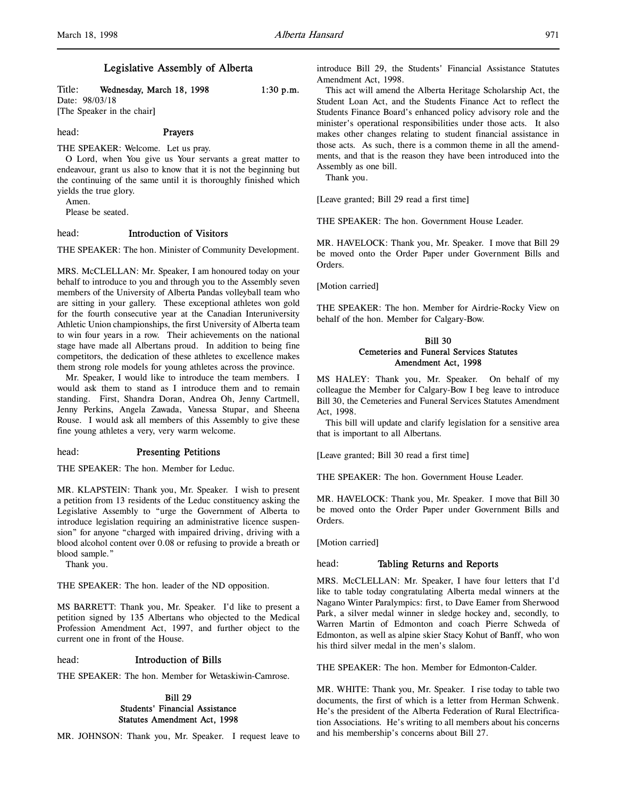# Legislative Assembly of Alberta

Title: Wednesday, March 18, 1998 1:30 p.m. Date: 98/03/18 [The Speaker in the chair]

# head: Prayers

THE SPEAKER: Welcome. Let us pray.

O Lord, when You give us Your servants a great matter to endeavour, grant us also to know that it is not the beginning but the continuing of the same until it is thoroughly finished which yields the true glory.

Amen.

Please be seated.

#### head: Introduction of Visitors

THE SPEAKER: The hon. Minister of Community Development.

MRS. McCLELLAN: Mr. Speaker, I am honoured today on your behalf to introduce to you and through you to the Assembly seven members of the University of Alberta Pandas volleyball team who are sitting in your gallery. These exceptional athletes won gold for the fourth consecutive year at the Canadian Interuniversity Athletic Union championships, the first University of Alberta team to win four years in a row. Their achievements on the national stage have made all Albertans proud. In addition to being fine competitors, the dedication of these athletes to excellence makes them strong role models for young athletes across the province.

Mr. Speaker, I would like to introduce the team members. I would ask them to stand as I introduce them and to remain standing. First, Shandra Doran, Andrea Oh, Jenny Cartmell, Jenny Perkins, Angela Zawada, Vanessa Stupar, and Sheena Rouse. I would ask all members of this Assembly to give these fine young athletes a very, very warm welcome.

#### head: Presenting Petitions

THE SPEAKER: The hon. Member for Leduc.

MR. KLAPSTEIN: Thank you, Mr. Speaker. I wish to present a petition from 13 residents of the Leduc constituency asking the Legislative Assembly to "urge the Government of Alberta to introduce legislation requiring an administrative licence suspension" for anyone "charged with impaired driving, driving with a blood alcohol content over 0.08 or refusing to provide a breath or blood sample."

Thank you.

THE SPEAKER: The hon. leader of the ND opposition.

MS BARRETT: Thank you, Mr. Speaker. I'd like to present a petition signed by 135 Albertans who objected to the Medical Profession Amendment Act, 1997, and further object to the current one in front of the House.

#### head: Introduction of Bills

THE SPEAKER: The hon. Member for Wetaskiwin-Camrose.

# Bill 29 Students' Financial Assistance Statutes Amendment Act, 1998

MR. JOHNSON: Thank you, Mr. Speaker. I request leave to

introduce Bill 29, the Students' Financial Assistance Statutes Amendment Act, 1998.

This act will amend the Alberta Heritage Scholarship Act, the Student Loan Act, and the Students Finance Act to reflect the Students Finance Board's enhanced policy advisory role and the minister's operational responsibilities under those acts. It also makes other changes relating to student financial assistance in those acts. As such, there is a common theme in all the amendments, and that is the reason they have been introduced into the Assembly as one bill.

Thank you.

[Leave granted; Bill 29 read a first time]

THE SPEAKER: The hon. Government House Leader.

MR. HAVELOCK: Thank you, Mr. Speaker. I move that Bill 29 be moved onto the Order Paper under Government Bills and Orders.

[Motion carried]

THE SPEAKER: The hon. Member for Airdrie-Rocky View on behalf of the hon. Member for Calgary-Bow.

# Bill 30 Cemeteries and Funeral Services Statutes Amendment Act, 1998

MS HALEY: Thank you, Mr. Speaker. On behalf of my colleague the Member for Calgary-Bow I beg leave to introduce Bill 30, the Cemeteries and Funeral Services Statutes Amendment Act, 1998.

This bill will update and clarify legislation for a sensitive area that is important to all Albertans.

[Leave granted; Bill 30 read a first time]

THE SPEAKER: The hon. Government House Leader.

MR. HAVELOCK: Thank you, Mr. Speaker. I move that Bill 30 be moved onto the Order Paper under Government Bills and Orders.

[Motion carried]

# head: Tabling Returns and Reports

MRS. McCLELLAN: Mr. Speaker, I have four letters that I'd like to table today congratulating Alberta medal winners at the Nagano Winter Paralympics: first, to Dave Eamer from Sherwood Park, a silver medal winner in sledge hockey and, secondly, to Warren Martin of Edmonton and coach Pierre Schweda of Edmonton, as well as alpine skier Stacy Kohut of Banff, who won his third silver medal in the men's slalom.

THE SPEAKER: The hon. Member for Edmonton-Calder.

MR. WHITE: Thank you, Mr. Speaker. I rise today to table two documents, the first of which is a letter from Herman Schwenk. He's the president of the Alberta Federation of Rural Electrification Associations. He's writing to all members about his concerns and his membership's concerns about Bill 27.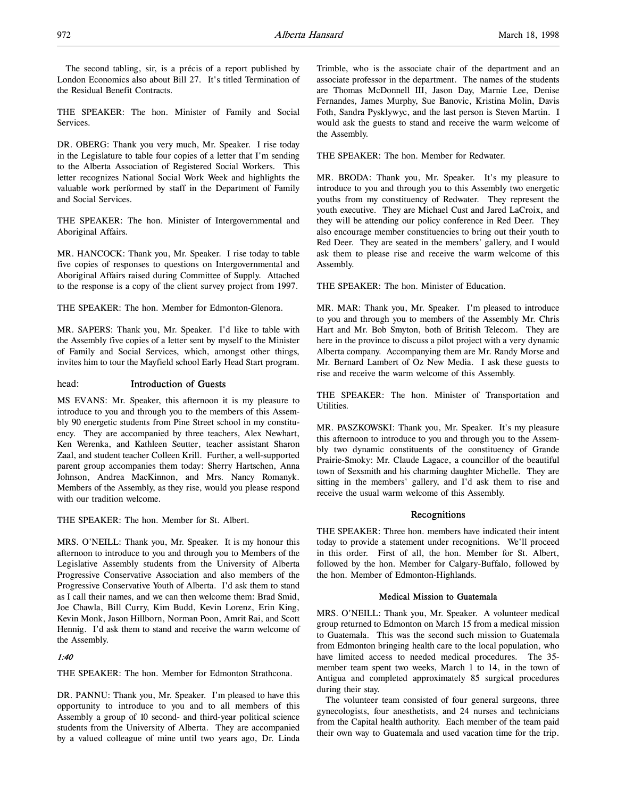THE SPEAKER: The hon. Minister of Family and Social Services.

DR. OBERG: Thank you very much, Mr. Speaker. I rise today in the Legislature to table four copies of a letter that I'm sending to the Alberta Association of Registered Social Workers. This letter recognizes National Social Work Week and highlights the valuable work performed by staff in the Department of Family and Social Services.

THE SPEAKER: The hon. Minister of Intergovernmental and Aboriginal Affairs.

MR. HANCOCK: Thank you, Mr. Speaker. I rise today to table five copies of responses to questions on Intergovernmental and Aboriginal Affairs raised during Committee of Supply. Attached to the response is a copy of the client survey project from 1997.

THE SPEAKER: The hon. Member for Edmonton-Glenora.

MR. SAPERS: Thank you, Mr. Speaker. I'd like to table with the Assembly five copies of a letter sent by myself to the Minister of Family and Social Services, which, amongst other things, invites him to tour the Mayfield school Early Head Start program.

# head: Introduction of Guests

MS EVANS: Mr. Speaker, this afternoon it is my pleasure to introduce to you and through you to the members of this Assembly 90 energetic students from Pine Street school in my constituency. They are accompanied by three teachers, Alex Newhart, Ken Werenka, and Kathleen Seutter, teacher assistant Sharon Zaal, and student teacher Colleen Krill. Further, a well-supported parent group accompanies them today: Sherry Hartschen, Anna Johnson, Andrea MacKinnon, and Mrs. Nancy Romanyk. Members of the Assembly, as they rise, would you please respond with our tradition welcome.

THE SPEAKER: The hon. Member for St. Albert.

MRS. O'NEILL: Thank you, Mr. Speaker. It is my honour this afternoon to introduce to you and through you to Members of the Legislative Assembly students from the University of Alberta Progressive Conservative Association and also members of the Progressive Conservative Youth of Alberta. I'd ask them to stand as I call their names, and we can then welcome them: Brad Smid, Joe Chawla, Bill Curry, Kim Budd, Kevin Lorenz, Erin King, Kevin Monk, Jason Hillborn, Norman Poon, Amrit Rai, and Scott Hennig. I'd ask them to stand and receive the warm welcome of the Assembly.

# 1:40

THE SPEAKER: The hon. Member for Edmonton Strathcona.

DR. PANNU: Thank you, Mr. Speaker. I'm pleased to have this opportunity to introduce to you and to all members of this Assembly a group of 10 second- and third-year political science students from the University of Alberta. They are accompanied by a valued colleague of mine until two years ago, Dr. Linda

Trimble, who is the associate chair of the department and an associate professor in the department. The names of the students are Thomas McDonnell III, Jason Day, Marnie Lee, Denise Fernandes, James Murphy, Sue Banovic, Kristina Molin, Davis Foth, Sandra Pysklywyc, and the last person is Steven Martin. I would ask the guests to stand and receive the warm welcome of the Assembly.

THE SPEAKER: The hon. Member for Redwater.

MR. BRODA: Thank you, Mr. Speaker. It's my pleasure to introduce to you and through you to this Assembly two energetic youths from my constituency of Redwater. They represent the youth executive. They are Michael Cust and Jared LaCroix, and they will be attending our policy conference in Red Deer. They also encourage member constituencies to bring out their youth to Red Deer. They are seated in the members' gallery, and I would ask them to please rise and receive the warm welcome of this Assembly.

THE SPEAKER: The hon. Minister of Education.

MR. MAR: Thank you, Mr. Speaker. I'm pleased to introduce to you and through you to members of the Assembly Mr. Chris Hart and Mr. Bob Smyton, both of British Telecom. They are here in the province to discuss a pilot project with a very dynamic Alberta company. Accompanying them are Mr. Randy Morse and Mr. Bernard Lambert of Oz New Media. I ask these guests to rise and receive the warm welcome of this Assembly.

THE SPEAKER: The hon. Minister of Transportation and Utilities.

MR. PASZKOWSKI: Thank you, Mr. Speaker. It's my pleasure this afternoon to introduce to you and through you to the Assembly two dynamic constituents of the constituency of Grande Prairie-Smoky: Mr. Claude Lagace, a councillor of the beautiful town of Sexsmith and his charming daughter Michelle. They are sitting in the members' gallery, and I'd ask them to rise and receive the usual warm welcome of this Assembly.

# Recognitions

THE SPEAKER: Three hon. members have indicated their intent today to provide a statement under recognitions. We'll proceed in this order. First of all, the hon. Member for St. Albert, followed by the hon. Member for Calgary-Buffalo, followed by the hon. Member of Edmonton-Highlands.

# Medical Mission to Guatemala

MRS. O'NEILL: Thank you, Mr. Speaker. A volunteer medical group returned to Edmonton on March 15 from a medical mission to Guatemala. This was the second such mission to Guatemala from Edmonton bringing health care to the local population, who have limited access to needed medical procedures. The 35 member team spent two weeks, March 1 to 14, in the town of Antigua and completed approximately 85 surgical procedures during their stay.

The volunteer team consisted of four general surgeons, three gynecologists, four anesthetists, and 24 nurses and technicians from the Capital health authority. Each member of the team paid their own way to Guatemala and used vacation time for the trip.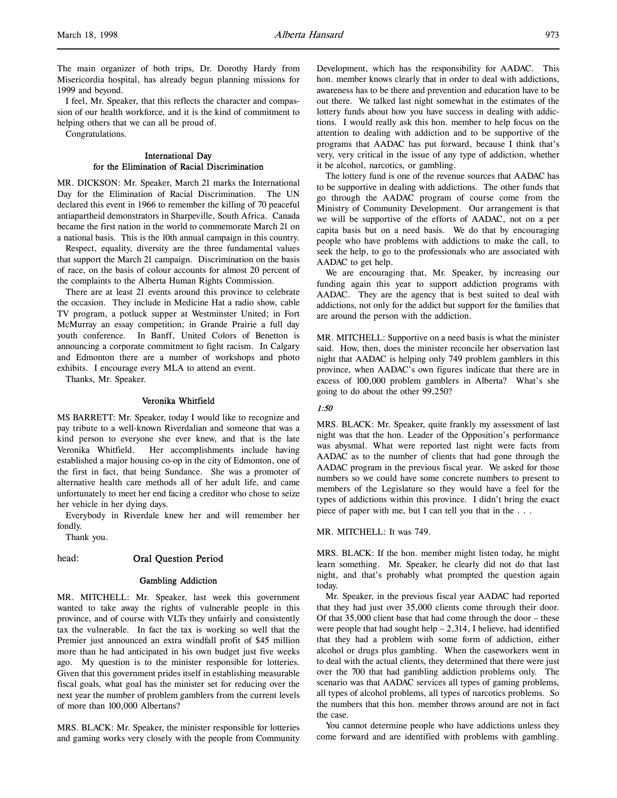The main organizer of both trips, Dr. Dorothy Hardy from Misericordia hospital, has already begun planning missions for 1999 and beyond.

I feel, Mr. Speaker, that this reflects the character and compassion of our health workforce, and it is the kind of commitment to helping others that we can all be proud of.

Congratulations.

#### International Day for the Elimination of Racial Discrimination

MR. DICKSON: Mr. Speaker, March 21 marks the International Day for the Elimination of Racial Discrimination. The UN declared this event in 1966 to remember the killing of 70 peaceful antiapartheid demonstrators in Sharpeville, South Africa. Canada became the first nation in the world to commemorate March 21 on a national basis. This is the 10th annual campaign in this country.

Respect, equality, diversity are the three fundamental values that support the March 21 campaign. Discrimination on the basis of race, on the basis of colour accounts for almost 20 percent of the complaints to the Alberta Human Rights Commission.

There are at least 21 events around this province to celebrate the occasion. They include in Medicine Hat a radio show, cable TV program, a potluck supper at Westminster United; in Fort McMurray an essay competition; in Grande Prairie a full day youth conference. In Banff, United Colors of Benetton is announcing a corporate commitment to fight racism. In Calgary and Edmonton there are a number of workshops and photo exhibits. I encourage every MLA to attend an event.

Thanks, Mr. Speaker.

#### Veronika Whitfield

MS BARRETT: Mr. Speaker, today I would like to recognize and pay tribute to a well-known Riverdalian and someone that was a kind person to everyone she ever knew, and that is the late Veronika Whitfield. Her accomplishments include having established a major housing co-op in the city of Edmonton, one of the first in fact, that being Sundance. She was a promoter of alternative health care methods all of her adult life, and came unfortunately to meet her end facing a creditor who chose to seize her vehicle in her dying days.

Everybody in Riverdale knew her and will remember her fondly.

Thank you.

#### head: Oral Question Period

#### Gambling Addiction

MR. MITCHELL: Mr. Speaker, last week this government wanted to take away the rights of vulnerable people in this province, and of course with VLTs they unfairly and consistently tax the vulnerable. In fact the tax is working so well that the Premier just announced an extra windfall profit of \$45 million more than he had anticipated in his own budget just five weeks ago. My question is to the minister responsible for lotteries. Given that this government prides itself in establishing measurable fiscal goals, what goal has the minister set for reducing over the next year the number of problem gamblers from the current levels of more than 100,000 Albertans?

MRS. BLACK: Mr. Speaker, the minister responsible for lotteries and gaming works very closely with the people from Community

Development, which has the responsibility for AADAC. This hon. member knows clearly that in order to deal with addictions, awareness has to be there and prevention and education have to be out there. We talked last night somewhat in the estimates of the lottery funds about how you have success in dealing with addictions. I would really ask this hon. member to help focus on the attention to dealing with addiction and to be supportive of the programs that AADAC has put forward, because I think that's very, very critical in the issue of any type of addiction, whether it be alcohol, narcotics, or gambling.

The lottery fund is one of the revenue sources that AADAC has to be supportive in dealing with addictions. The other funds that go through the AADAC program of course come from the Ministry of Community Development. Our arrangement is that we will be supportive of the efforts of AADAC, not on a per capita basis but on a need basis. We do that by encouraging people who have problems with addictions to make the call, to seek the help, to go to the professionals who are associated with AADAC to get help.

We are encouraging that, Mr. Speaker, by increasing our funding again this year to support addiction programs with AADAC. They are the agency that is best suited to deal with addictions, not only for the addict but support for the families that are around the person with the addiction.

MR. MITCHELL: Supportive on a need basis is what the minister said. How, then, does the minister reconcile her observation last night that AADAC is helping only 749 problem gamblers in this province, when AADAC's own figures indicate that there are in excess of 100,000 problem gamblers in Alberta? What's she going to do about the other 99,250?

# 1:50

MRS. BLACK: Mr. Speaker, quite frankly my assessment of last night was that the hon. Leader of the Opposition's performance was abysmal. What were reported last night were facts from AADAC as to the number of clients that had gone through the AADAC program in the previous fiscal year. We asked for those numbers so we could have some concrete numbers to present to members of the Legislature so they would have a feel for the types of addictions within this province. I didn't bring the exact piece of paper with me, but I can tell you that in the . . .

#### MR. MITCHELL: It was 749.

MRS. BLACK: If the hon. member might listen today, he might learn something. Mr. Speaker, he clearly did not do that last night, and that's probably what prompted the question again today.

Mr. Speaker, in the previous fiscal year AADAC had reported that they had just over 35,000 clients come through their door. Of that 35,000 client base that had come through the door – these were people that had sought help – 2,314, I believe, had identified that they had a problem with some form of addiction, either alcohol or drugs plus gambling. When the caseworkers went in to deal with the actual clients, they determined that there were just over the 700 that had gambling addiction problems only. The scenario was that AADAC services all types of gaming problems, all types of alcohol problems, all types of narcotics problems. So the numbers that this hon. member throws around are not in fact the case.

You cannot determine people who have addictions unless they come forward and are identified with problems with gambling.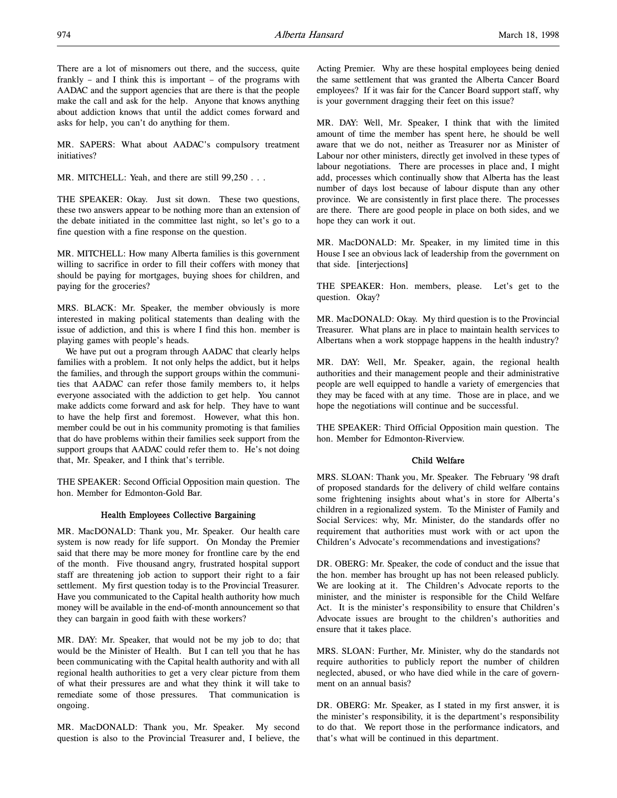There are a lot of misnomers out there, and the success, quite frankly – and I think this is important – of the programs with AADAC and the support agencies that are there is that the people make the call and ask for the help. Anyone that knows anything about addiction knows that until the addict comes forward and asks for help, you can't do anything for them.

MR. SAPERS: What about AADAC's compulsory treatment initiatives?

MR. MITCHELL: Yeah, and there are still 99,250 . . .

THE SPEAKER: Okay. Just sit down. These two questions, these two answers appear to be nothing more than an extension of the debate initiated in the committee last night, so let's go to a fine question with a fine response on the question.

MR. MITCHELL: How many Alberta families is this government willing to sacrifice in order to fill their coffers with money that should be paying for mortgages, buying shoes for children, and paying for the groceries?

MRS. BLACK: Mr. Speaker, the member obviously is more interested in making political statements than dealing with the issue of addiction, and this is where I find this hon. member is playing games with people's heads.

We have put out a program through AADAC that clearly helps families with a problem. It not only helps the addict, but it helps the families, and through the support groups within the communities that AADAC can refer those family members to, it helps everyone associated with the addiction to get help. You cannot make addicts come forward and ask for help. They have to want to have the help first and foremost. However, what this hon. member could be out in his community promoting is that families that do have problems within their families seek support from the support groups that AADAC could refer them to. He's not doing that, Mr. Speaker, and I think that's terrible.

THE SPEAKER: Second Official Opposition main question. The hon. Member for Edmonton-Gold Bar.

# Health Employees Collective Bargaining

MR. MacDONALD: Thank you, Mr. Speaker. Our health care system is now ready for life support. On Monday the Premier said that there may be more money for frontline care by the end of the month. Five thousand angry, frustrated hospital support staff are threatening job action to support their right to a fair settlement. My first question today is to the Provincial Treasurer. Have you communicated to the Capital health authority how much money will be available in the end-of-month announcement so that they can bargain in good faith with these workers?

MR. DAY: Mr. Speaker, that would not be my job to do; that would be the Minister of Health. But I can tell you that he has been communicating with the Capital health authority and with all regional health authorities to get a very clear picture from them of what their pressures are and what they think it will take to remediate some of those pressures. That communication is ongoing.

MR. MacDONALD: Thank you, Mr. Speaker. My second question is also to the Provincial Treasurer and, I believe, the Acting Premier. Why are these hospital employees being denied the same settlement that was granted the Alberta Cancer Board employees? If it was fair for the Cancer Board support staff, why is your government dragging their feet on this issue?

MR. DAY: Well, Mr. Speaker, I think that with the limited amount of time the member has spent here, he should be well aware that we do not, neither as Treasurer nor as Minister of Labour nor other ministers, directly get involved in these types of labour negotiations. There are processes in place and, I might add, processes which continually show that Alberta has the least number of days lost because of labour dispute than any other province. We are consistently in first place there. The processes are there. There are good people in place on both sides, and we hope they can work it out.

MR. MacDONALD: Mr. Speaker, in my limited time in this House I see an obvious lack of leadership from the government on that side. [interjections]

THE SPEAKER: Hon. members, please. Let's get to the question. Okay?

MR. MacDONALD: Okay. My third question is to the Provincial Treasurer. What plans are in place to maintain health services to Albertans when a work stoppage happens in the health industry?

MR. DAY: Well, Mr. Speaker, again, the regional health authorities and their management people and their administrative people are well equipped to handle a variety of emergencies that they may be faced with at any time. Those are in place, and we hope the negotiations will continue and be successful.

THE SPEAKER: Third Official Opposition main question. The hon. Member for Edmonton-Riverview.

# Child Welfare

MRS. SLOAN: Thank you, Mr. Speaker. The February '98 draft of proposed standards for the delivery of child welfare contains some frightening insights about what's in store for Alberta's children in a regionalized system. To the Minister of Family and Social Services: why, Mr. Minister, do the standards offer no requirement that authorities must work with or act upon the Children's Advocate's recommendations and investigations?

DR. OBERG: Mr. Speaker, the code of conduct and the issue that the hon. member has brought up has not been released publicly. We are looking at it. The Children's Advocate reports to the minister, and the minister is responsible for the Child Welfare Act. It is the minister's responsibility to ensure that Children's Advocate issues are brought to the children's authorities and ensure that it takes place.

MRS. SLOAN: Further, Mr. Minister, why do the standards not require authorities to publicly report the number of children neglected, abused, or who have died while in the care of government on an annual basis?

DR. OBERG: Mr. Speaker, as I stated in my first answer, it is the minister's responsibility, it is the department's responsibility to do that. We report those in the performance indicators, and that's what will be continued in this department.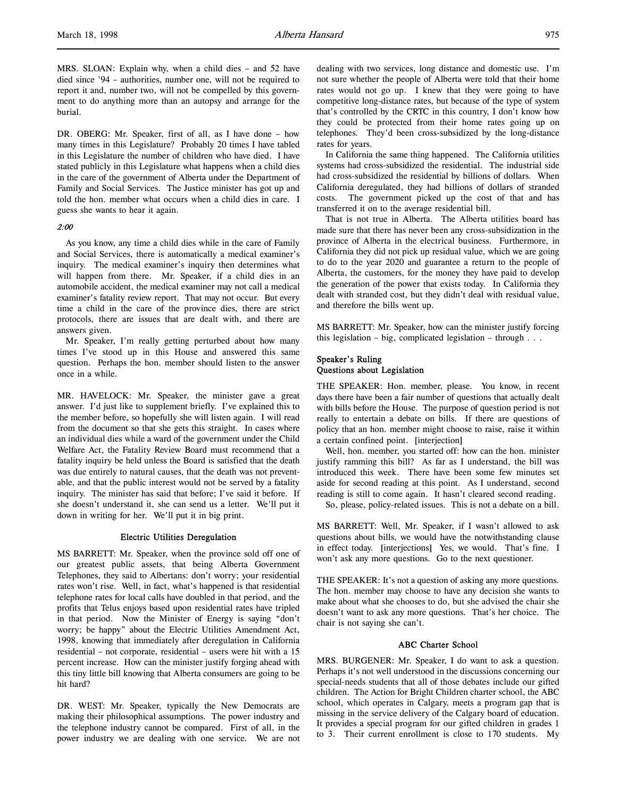MRS. SLOAN: Explain why, when a child dies – and 52 have died since '94 – authorities, number one, will not be required to report it and, number two, will not be compelled by this government to do anything more than an autopsy and arrange for the burial.

DR. OBERG: Mr. Speaker, first of all, as I have done – how many times in this Legislature? Probably 20 times I have tabled in this Legislature the number of children who have died. I have stated publicly in this Legislature what happens when a child dies in the care of the government of Alberta under the Department of Family and Social Services. The Justice minister has got up and told the hon. member what occurs when a child dies in care. I guess she wants to hear it again.

#### 2:00

As you know, any time a child dies while in the care of Family and Social Services, there is automatically a medical examiner's inquiry. The medical examiner's inquiry then determines what will happen from there. Mr. Speaker, if a child dies in an automobile accident, the medical examiner may not call a medical examiner's fatality review report. That may not occur. But every time a child in the care of the province dies, there are strict protocols, there are issues that are dealt with, and there are answers given.

Mr. Speaker, I'm really getting perturbed about how many times I've stood up in this House and answered this same question. Perhaps the hon. member should listen to the answer once in a while.

MR. HAVELOCK: Mr. Speaker, the minister gave a great answer. I'd just like to supplement briefly. I've explained this to the member before, so hopefully she will listen again. I will read from the document so that she gets this straight. In cases where an individual dies while a ward of the government under the Child Welfare Act, the Fatality Review Board must recommend that a fatality inquiry be held unless the Board is satisfied that the death was due entirely to natural causes, that the death was not preventable, and that the public interest would not be served by a fatality inquiry. The minister has said that before; I've said it before. If she doesn't understand it, she can send us a letter. We'll put it down in writing for her. We'll put it in big print.

#### Electric Utilities Deregulation

MS BARRETT: Mr. Speaker, when the province sold off one of our greatest public assets, that being Alberta Government Telephones, they said to Albertans: don't worry; your residential rates won't rise. Well, in fact, what's happened is that residential telephone rates for local calls have doubled in that period, and the profits that Telus enjoys based upon residential rates have tripled in that period. Now the Minister of Energy is saying "don't worry; be happy" about the Electric Utilities Amendment Act, 1998, knowing that immediately after deregulation in California residential – not corporate, residential – users were hit with a 15 percent increase. How can the minister justify forging ahead with this tiny little bill knowing that Alberta consumers are going to be hit hard?

DR. WEST: Mr. Speaker, typically the New Democrats are making their philosophical assumptions. The power industry and the telephone industry cannot be compared. First of all, in the power industry we are dealing with one service. We are not dealing with two services, long distance and domestic use. I'm not sure whether the people of Alberta were told that their home rates would not go up. I knew that they were going to have competitive long-distance rates, but because of the type of system that's controlled by the CRTC in this country, I don't know how they could be protected from their home rates going up on telephones. They'd been cross-subsidized by the long-distance rates for years.

In California the same thing happened. The California utilities systems had cross-subsidized the residential. The industrial side had cross-subsidized the residential by billions of dollars. When California deregulated, they had billions of dollars of stranded costs. The government picked up the cost of that and has transferred it on to the average residential bill.

That is not true in Alberta. The Alberta utilities board has made sure that there has never been any cross-subsidization in the province of Alberta in the electrical business. Furthermore, in California they did not pick up residual value, which we are going to do to the year 2020 and guarantee a return to the people of Alberta, the customers, for the money they have paid to develop the generation of the power that exists today. In California they dealt with stranded cost, but they didn't deal with residual value, and therefore the bills went up.

MS BARRETT: Mr. Speaker, how can the minister justify forcing this legislation – big, complicated legislation – through . . .

# Speaker's Ruling Questions about Legislation

THE SPEAKER: Hon. member, please. You know, in recent days there have been a fair number of questions that actually dealt with bills before the House. The purpose of question period is not really to entertain a debate on bills. If there are questions of policy that an hon. member might choose to raise, raise it within a certain confined point. [interjection]

Well, hon. member, you started off: how can the hon. minister justify ramming this bill? As far as I understand, the bill was introduced this week. There have been some few minutes set aside for second reading at this point. As I understand, second reading is still to come again. It hasn't cleared second reading.

So, please, policy-related issues. This is not a debate on a bill.

MS BARRETT: Well, Mr. Speaker, if I wasn't allowed to ask questions about bills, we would have the notwithstanding clause in effect today. [interjections] Yes, we would. That's fine. I won't ask any more questions. Go to the next questioner.

THE SPEAKER: It's not a question of asking any more questions. The hon. member may choose to have any decision she wants to make about what she chooses to do, but she advised the chair she doesn't want to ask any more questions. That's her choice. The chair is not saying she can't.

# ABC Charter School

MRS. BURGENER: Mr. Speaker, I do want to ask a question. Perhaps it's not well understood in the discussions concerning our special-needs students that all of those debates include our gifted children. The Action for Bright Children charter school, the ABC school, which operates in Calgary, meets a program gap that is missing in the service delivery of the Calgary board of education. It provides a special program for our gifted children in grades 1 to 3. Their current enrollment is close to 170 students. My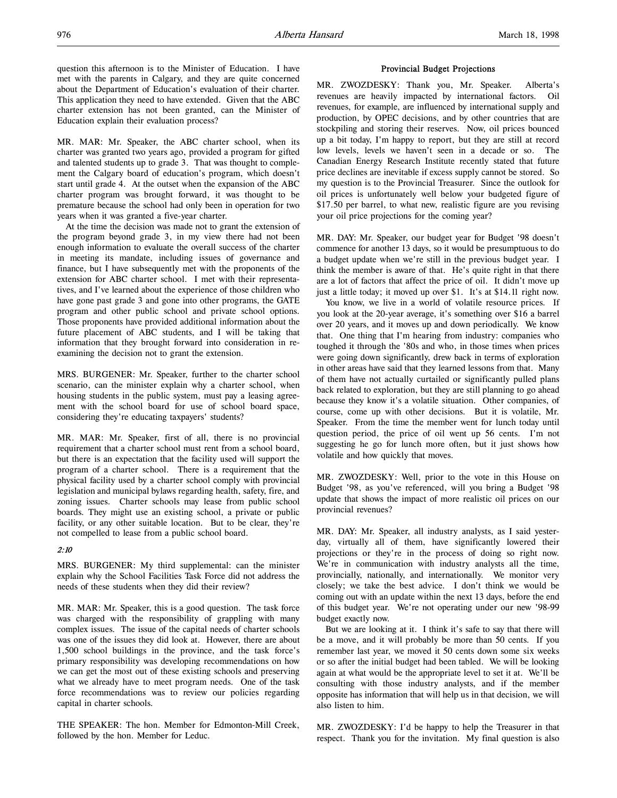question this afternoon is to the Minister of Education. I have met with the parents in Calgary, and they are quite concerned about the Department of Education's evaluation of their charter. This application they need to have extended. Given that the ABC charter extension has not been granted, can the Minister of Education explain their evaluation process?

MR. MAR: Mr. Speaker, the ABC charter school, when its charter was granted two years ago, provided a program for gifted and talented students up to grade 3. That was thought to complement the Calgary board of education's program, which doesn't start until grade 4. At the outset when the expansion of the ABC charter program was brought forward, it was thought to be premature because the school had only been in operation for two years when it was granted a five-year charter.

At the time the decision was made not to grant the extension of the program beyond grade 3, in my view there had not been enough information to evaluate the overall success of the charter in meeting its mandate, including issues of governance and finance, but I have subsequently met with the proponents of the extension for ABC charter school. I met with their representatives, and I've learned about the experience of those children who have gone past grade 3 and gone into other programs, the GATE program and other public school and private school options. Those proponents have provided additional information about the future placement of ABC students, and I will be taking that information that they brought forward into consideration in reexamining the decision not to grant the extension.

MRS. BURGENER: Mr. Speaker, further to the charter school scenario, can the minister explain why a charter school, when housing students in the public system, must pay a leasing agreement with the school board for use of school board space, considering they're educating taxpayers' students?

MR. MAR: Mr. Speaker, first of all, there is no provincial requirement that a charter school must rent from a school board, but there is an expectation that the facility used will support the program of a charter school. There is a requirement that the physical facility used by a charter school comply with provincial legislation and municipal bylaws regarding health, safety, fire, and zoning issues. Charter schools may lease from public school boards. They might use an existing school, a private or public facility, or any other suitable location. But to be clear, they're not compelled to lease from a public school board.

# 2:10

MRS. BURGENER: My third supplemental: can the minister explain why the School Facilities Task Force did not address the needs of these students when they did their review?

MR. MAR: Mr. Speaker, this is a good question. The task force was charged with the responsibility of grappling with many complex issues. The issue of the capital needs of charter schools was one of the issues they did look at. However, there are about 1,500 school buildings in the province, and the task force's primary responsibility was developing recommendations on how we can get the most out of these existing schools and preserving what we already have to meet program needs. One of the task force recommendations was to review our policies regarding capital in charter schools.

THE SPEAKER: The hon. Member for Edmonton-Mill Creek, followed by the hon. Member for Leduc.

#### Provincial Budget Projections

MR. ZWOZDESKY: Thank you, Mr. Speaker. Alberta's revenues are heavily impacted by international factors. Oil revenues, for example, are influenced by international supply and production, by OPEC decisions, and by other countries that are stockpiling and storing their reserves. Now, oil prices bounced up a bit today, I'm happy to report, but they are still at record low levels, levels we haven't seen in a decade or so. The Canadian Energy Research Institute recently stated that future price declines are inevitable if excess supply cannot be stored. So my question is to the Provincial Treasurer. Since the outlook for oil prices is unfortunately well below your budgeted figure of \$17.50 per barrel, to what new, realistic figure are you revising your oil price projections for the coming year?

MR. DAY: Mr. Speaker, our budget year for Budget '98 doesn't commence for another 13 days, so it would be presumptuous to do a budget update when we're still in the previous budget year. I think the member is aware of that. He's quite right in that there are a lot of factors that affect the price of oil. It didn't move up just a little today; it moved up over \$1. It's at \$14.11 right now.

You know, we live in a world of volatile resource prices. If you look at the 20-year average, it's something over \$16 a barrel over 20 years, and it moves up and down periodically. We know that. One thing that I'm hearing from industry: companies who toughed it through the '80s and who, in those times when prices were going down significantly, drew back in terms of exploration in other areas have said that they learned lessons from that. Many of them have not actually curtailed or significantly pulled plans back related to exploration, but they are still planning to go ahead because they know it's a volatile situation. Other companies, of course, come up with other decisions. But it is volatile, Mr. Speaker. From the time the member went for lunch today until question period, the price of oil went up 56 cents. I'm not suggesting he go for lunch more often, but it just shows how volatile and how quickly that moves.

MR. ZWOZDESKY: Well, prior to the vote in this House on Budget '98, as you've referenced, will you bring a Budget '98 update that shows the impact of more realistic oil prices on our provincial revenues?

MR. DAY: Mr. Speaker, all industry analysts, as I said yesterday, virtually all of them, have significantly lowered their projections or they're in the process of doing so right now. We're in communication with industry analysts all the time, provincially, nationally, and internationally. We monitor very closely; we take the best advice. I don't think we would be coming out with an update within the next 13 days, before the end of this budget year. We're not operating under our new '98-99 budget exactly now.

But we are looking at it. I think it's safe to say that there will be a move, and it will probably be more than 50 cents. If you remember last year, we moved it 50 cents down some six weeks or so after the initial budget had been tabled. We will be looking again at what would be the appropriate level to set it at. We'll be consulting with those industry analysts, and if the member opposite has information that will help us in that decision, we will also listen to him.

MR. ZWOZDESKY: I'd be happy to help the Treasurer in that respect. Thank you for the invitation. My final question is also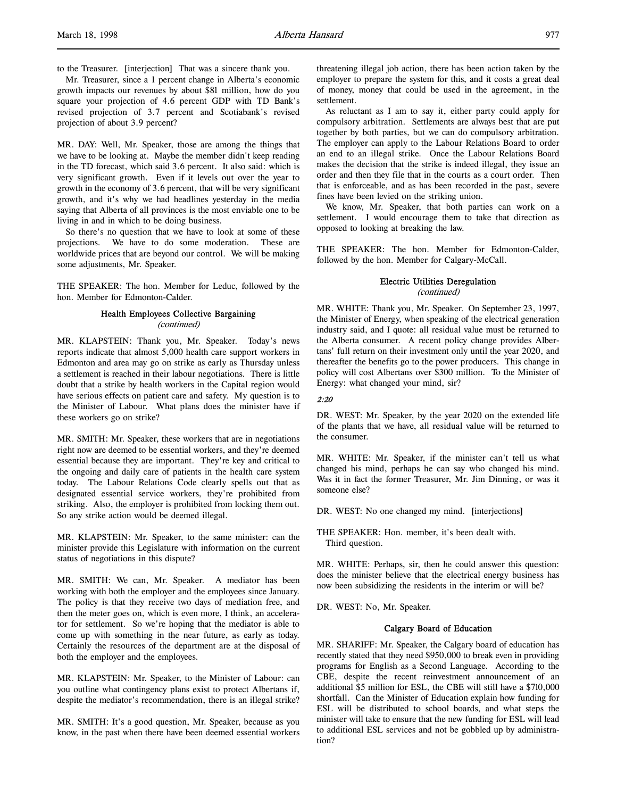to the Treasurer. [interjection] That was a sincere thank you.

Mr. Treasurer, since a 1 percent change in Alberta's economic growth impacts our revenues by about \$81 million, how do you square your projection of 4.6 percent GDP with TD Bank's revised projection of 3.7 percent and Scotiabank's revised projection of about 3.9 percent?

MR. DAY: Well, Mr. Speaker, those are among the things that we have to be looking at. Maybe the member didn't keep reading in the TD forecast, which said 3.6 percent. It also said: which is very significant growth. Even if it levels out over the year to growth in the economy of 3.6 percent, that will be very significant growth, and it's why we had headlines yesterday in the media saying that Alberta of all provinces is the most enviable one to be living in and in which to be doing business.

So there's no question that we have to look at some of these projections. We have to do some moderation. These are worldwide prices that are beyond our control. We will be making some adjustments, Mr. Speaker.

THE SPEAKER: The hon. Member for Leduc, followed by the hon. Member for Edmonton-Calder.

# Health Employees Collective Bargaining (continued)

MR. KLAPSTEIN: Thank you, Mr. Speaker. Today's news reports indicate that almost 5,000 health care support workers in Edmonton and area may go on strike as early as Thursday unless a settlement is reached in their labour negotiations. There is little doubt that a strike by health workers in the Capital region would have serious effects on patient care and safety. My question is to the Minister of Labour. What plans does the minister have if these workers go on strike?

MR. SMITH: Mr. Speaker, these workers that are in negotiations right now are deemed to be essential workers, and they're deemed essential because they are important. They're key and critical to the ongoing and daily care of patients in the health care system today. The Labour Relations Code clearly spells out that as designated essential service workers, they're prohibited from striking. Also, the employer is prohibited from locking them out. So any strike action would be deemed illegal.

MR. KLAPSTEIN: Mr. Speaker, to the same minister: can the minister provide this Legislature with information on the current status of negotiations in this dispute?

MR. SMITH: We can, Mr. Speaker. A mediator has been working with both the employer and the employees since January. The policy is that they receive two days of mediation free, and then the meter goes on, which is even more, I think, an accelerator for settlement. So we're hoping that the mediator is able to come up with something in the near future, as early as today. Certainly the resources of the department are at the disposal of both the employer and the employees.

MR. KLAPSTEIN: Mr. Speaker, to the Minister of Labour: can you outline what contingency plans exist to protect Albertans if, despite the mediator's recommendation, there is an illegal strike?

MR. SMITH: It's a good question, Mr. Speaker, because as you know, in the past when there have been deemed essential workers threatening illegal job action, there has been action taken by the employer to prepare the system for this, and it costs a great deal of money, money that could be used in the agreement, in the settlement.

As reluctant as I am to say it, either party could apply for compulsory arbitration. Settlements are always best that are put together by both parties, but we can do compulsory arbitration. The employer can apply to the Labour Relations Board to order an end to an illegal strike. Once the Labour Relations Board makes the decision that the strike is indeed illegal, they issue an order and then they file that in the courts as a court order. Then that is enforceable, and as has been recorded in the past, severe fines have been levied on the striking union.

We know, Mr. Speaker, that both parties can work on a settlement. I would encourage them to take that direction as opposed to looking at breaking the law.

THE SPEAKER: The hon. Member for Edmonton-Calder, followed by the hon. Member for Calgary-McCall.

# Electric Utilities Deregulation

(continued)

MR. WHITE: Thank you, Mr. Speaker. On September 23, 1997, the Minister of Energy, when speaking of the electrical generation industry said, and I quote: all residual value must be returned to the Alberta consumer. A recent policy change provides Albertans' full return on their investment only until the year 2020, and thereafter the benefits go to the power producers. This change in policy will cost Albertans over \$300 million. To the Minister of Energy: what changed your mind, sir?

# 2:20

DR. WEST: Mr. Speaker, by the year 2020 on the extended life of the plants that we have, all residual value will be returned to the consumer.

MR. WHITE: Mr. Speaker, if the minister can't tell us what changed his mind, perhaps he can say who changed his mind. Was it in fact the former Treasurer, Mr. Jim Dinning, or was it someone else?

DR. WEST: No one changed my mind. [interjections]

THE SPEAKER: Hon. member, it's been dealt with. Third question.

MR. WHITE: Perhaps, sir, then he could answer this question: does the minister believe that the electrical energy business has now been subsidizing the residents in the interim or will be?

DR. WEST: No, Mr. Speaker.

#### Calgary Board of Education

MR. SHARIFF: Mr. Speaker, the Calgary board of education has recently stated that they need \$950,000 to break even in providing programs for English as a Second Language. According to the CBE, despite the recent reinvestment announcement of an additional \$5 million for ESL, the CBE will still have a \$710,000 shortfall. Can the Minister of Education explain how funding for ESL will be distributed to school boards, and what steps the minister will take to ensure that the new funding for ESL will lead to additional ESL services and not be gobbled up by administration?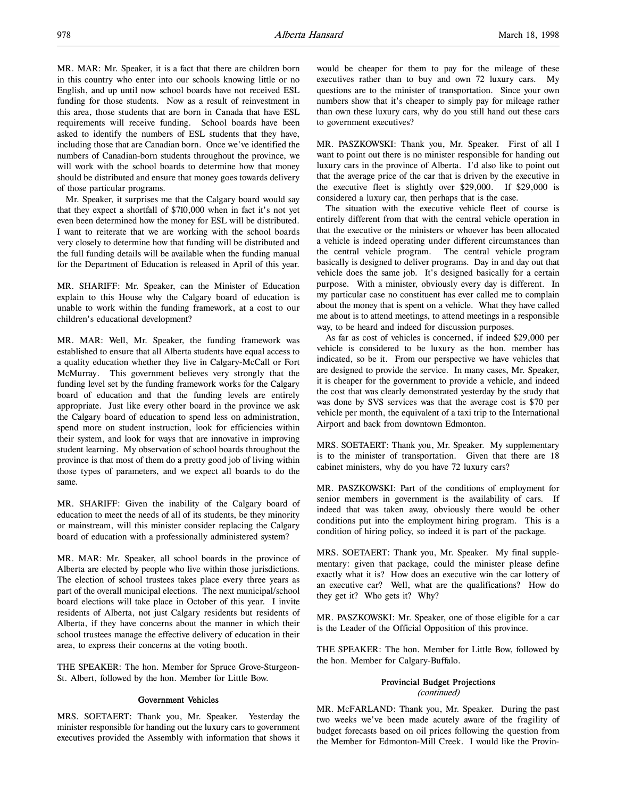MR. MAR: Mr. Speaker, it is a fact that there are children born in this country who enter into our schools knowing little or no English, and up until now school boards have not received ESL funding for those students. Now as a result of reinvestment in this area, those students that are born in Canada that have ESL requirements will receive funding. School boards have been asked to identify the numbers of ESL students that they have, including those that are Canadian born. Once we've identified the numbers of Canadian-born students throughout the province, we will work with the school boards to determine how that money should be distributed and ensure that money goes towards delivery of those particular programs.

Mr. Speaker, it surprises me that the Calgary board would say that they expect a shortfall of \$710,000 when in fact it's not yet even been determined how the money for ESL will be distributed. I want to reiterate that we are working with the school boards very closely to determine how that funding will be distributed and the full funding details will be available when the funding manual for the Department of Education is released in April of this year.

MR. SHARIFF: Mr. Speaker, can the Minister of Education explain to this House why the Calgary board of education is unable to work within the funding framework, at a cost to our children's educational development?

MR. MAR: Well, Mr. Speaker, the funding framework was established to ensure that all Alberta students have equal access to a quality education whether they live in Calgary-McCall or Fort McMurray. This government believes very strongly that the funding level set by the funding framework works for the Calgary board of education and that the funding levels are entirely appropriate. Just like every other board in the province we ask the Calgary board of education to spend less on administration, spend more on student instruction, look for efficiencies within their system, and look for ways that are innovative in improving student learning. My observation of school boards throughout the province is that most of them do a pretty good job of living within those types of parameters, and we expect all boards to do the same.

MR. SHARIFF: Given the inability of the Calgary board of education to meet the needs of all of its students, be they minority or mainstream, will this minister consider replacing the Calgary board of education with a professionally administered system?

MR. MAR: Mr. Speaker, all school boards in the province of Alberta are elected by people who live within those jurisdictions. The election of school trustees takes place every three years as part of the overall municipal elections. The next municipal/school board elections will take place in October of this year. I invite residents of Alberta, not just Calgary residents but residents of Alberta, if they have concerns about the manner in which their school trustees manage the effective delivery of education in their area, to express their concerns at the voting booth.

THE SPEAKER: The hon. Member for Spruce Grove-Sturgeon-St. Albert, followed by the hon. Member for Little Bow.

# Government Vehicles

MRS. SOETAERT: Thank you, Mr. Speaker. Yesterday the minister responsible for handing out the luxury cars to government executives provided the Assembly with information that shows it would be cheaper for them to pay for the mileage of these executives rather than to buy and own 72 luxury cars. My questions are to the minister of transportation. Since your own numbers show that it's cheaper to simply pay for mileage rather than own these luxury cars, why do you still hand out these cars to government executives?

MR. PASZKOWSKI: Thank you, Mr. Speaker. First of all I want to point out there is no minister responsible for handing out luxury cars in the province of Alberta. I'd also like to point out that the average price of the car that is driven by the executive in the executive fleet is slightly over \$29,000. If \$29,000 is considered a luxury car, then perhaps that is the case.

The situation with the executive vehicle fleet of course is entirely different from that with the central vehicle operation in that the executive or the ministers or whoever has been allocated a vehicle is indeed operating under different circumstances than the central vehicle program. The central vehicle program basically is designed to deliver programs. Day in and day out that vehicle does the same job. It's designed basically for a certain purpose. With a minister, obviously every day is different. In my particular case no constituent has ever called me to complain about the money that is spent on a vehicle. What they have called me about is to attend meetings, to attend meetings in a responsible way, to be heard and indeed for discussion purposes.

As far as cost of vehicles is concerned, if indeed \$29,000 per vehicle is considered to be luxury as the hon. member has indicated, so be it. From our perspective we have vehicles that are designed to provide the service. In many cases, Mr. Speaker, it is cheaper for the government to provide a vehicle, and indeed the cost that was clearly demonstrated yesterday by the study that was done by SVS services was that the average cost is \$70 per vehicle per month, the equivalent of a taxi trip to the International Airport and back from downtown Edmonton.

MRS. SOETAERT: Thank you, Mr. Speaker. My supplementary is to the minister of transportation. Given that there are 18 cabinet ministers, why do you have 72 luxury cars?

MR. PASZKOWSKI: Part of the conditions of employment for senior members in government is the availability of cars. If indeed that was taken away, obviously there would be other conditions put into the employment hiring program. This is a condition of hiring policy, so indeed it is part of the package.

MRS. SOETAERT: Thank you, Mr. Speaker. My final supplementary: given that package, could the minister please define exactly what it is? How does an executive win the car lottery of an executive car? Well, what are the qualifications? How do they get it? Who gets it? Why?

MR. PASZKOWSKI: Mr. Speaker, one of those eligible for a car is the Leader of the Official Opposition of this province.

THE SPEAKER: The hon. Member for Little Bow, followed by the hon. Member for Calgary-Buffalo.

#### Provincial Budget Projections (continued)

MR. McFARLAND: Thank you, Mr. Speaker. During the past two weeks we've been made acutely aware of the fragility of budget forecasts based on oil prices following the question from the Member for Edmonton-Mill Creek. I would like the Provin-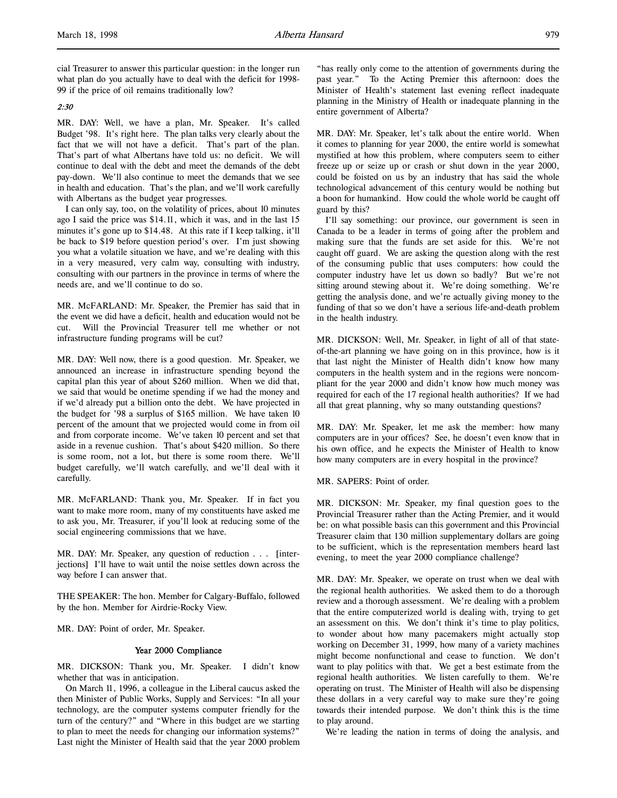cial Treasurer to answer this particular question: in the longer run what plan do you actually have to deal with the deficit for 1998- 99 if the price of oil remains traditionally low?

# 2:30

MR. DAY: Well, we have a plan, Mr. Speaker. It's called Budget '98. It's right here. The plan talks very clearly about the fact that we will not have a deficit. That's part of the plan. That's part of what Albertans have told us: no deficit. We will continue to deal with the debt and meet the demands of the debt pay-down. We'll also continue to meet the demands that we see in health and education. That's the plan, and we'll work carefully with Albertans as the budget year progresses.

I can only say, too, on the volatility of prices, about 10 minutes ago I said the price was \$14.11, which it was, and in the last 15 minutes it's gone up to \$14.48. At this rate if I keep talking, it'll be back to \$19 before question period's over. I'm just showing you what a volatile situation we have, and we're dealing with this in a very measured, very calm way, consulting with industry, consulting with our partners in the province in terms of where the needs are, and we'll continue to do so.

MR. McFARLAND: Mr. Speaker, the Premier has said that in the event we did have a deficit, health and education would not be cut. Will the Provincial Treasurer tell me whether or not infrastructure funding programs will be cut?

MR. DAY: Well now, there is a good question. Mr. Speaker, we announced an increase in infrastructure spending beyond the capital plan this year of about \$260 million. When we did that, we said that would be onetime spending if we had the money and if we'd already put a billion onto the debt. We have projected in the budget for '98 a surplus of \$165 million. We have taken 10 percent of the amount that we projected would come in from oil and from corporate income. We've taken 10 percent and set that aside in a revenue cushion. That's about \$420 million. So there is some room, not a lot, but there is some room there. We'll budget carefully, we'll watch carefully, and we'll deal with it carefully.

MR. McFARLAND: Thank you, Mr. Speaker. If in fact you want to make more room, many of my constituents have asked me to ask you, Mr. Treasurer, if you'll look at reducing some of the social engineering commissions that we have.

MR. DAY: Mr. Speaker, any question of reduction . . . [interjections] I'll have to wait until the noise settles down across the way before I can answer that.

THE SPEAKER: The hon. Member for Calgary-Buffalo, followed by the hon. Member for Airdrie-Rocky View.

MR. DAY: Point of order, Mr. Speaker.

#### Year 2000 Compliance

MR. DICKSON: Thank you, Mr. Speaker. I didn't know whether that was in anticipation.

On March 11, 1996, a colleague in the Liberal caucus asked the then Minister of Public Works, Supply and Services: "In all your technology, are the computer systems computer friendly for the turn of the century?" and "Where in this budget are we starting to plan to meet the needs for changing our information systems?" Last night the Minister of Health said that the year 2000 problem "has really only come to the attention of governments during the past year." To the Acting Premier this afternoon: does the Minister of Health's statement last evening reflect inadequate planning in the Ministry of Health or inadequate planning in the entire government of Alberta?

MR. DAY: Mr. Speaker, let's talk about the entire world. When it comes to planning for year 2000, the entire world is somewhat mystified at how this problem, where computers seem to either freeze up or seize up or crash or shut down in the year 2000, could be foisted on us by an industry that has said the whole technological advancement of this century would be nothing but a boon for humankind. How could the whole world be caught off guard by this?

I'll say something: our province, our government is seen in Canada to be a leader in terms of going after the problem and making sure that the funds are set aside for this. We're not caught off guard. We are asking the question along with the rest of the consuming public that uses computers: how could the computer industry have let us down so badly? But we're not sitting around stewing about it. We're doing something. We're getting the analysis done, and we're actually giving money to the funding of that so we don't have a serious life-and-death problem in the health industry.

MR. DICKSON: Well, Mr. Speaker, in light of all of that stateof-the-art planning we have going on in this province, how is it that last night the Minister of Health didn't know how many computers in the health system and in the regions were noncompliant for the year 2000 and didn't know how much money was required for each of the 17 regional health authorities? If we had all that great planning, why so many outstanding questions?

MR. DAY: Mr. Speaker, let me ask the member: how many computers are in your offices? See, he doesn't even know that in his own office, and he expects the Minister of Health to know how many computers are in every hospital in the province?

MR. SAPERS: Point of order.

MR. DICKSON: Mr. Speaker, my final question goes to the Provincial Treasurer rather than the Acting Premier, and it would be: on what possible basis can this government and this Provincial Treasurer claim that 130 million supplementary dollars are going to be sufficient, which is the representation members heard last evening, to meet the year 2000 compliance challenge?

MR. DAY: Mr. Speaker, we operate on trust when we deal with the regional health authorities. We asked them to do a thorough review and a thorough assessment. We're dealing with a problem that the entire computerized world is dealing with, trying to get an assessment on this. We don't think it's time to play politics, to wonder about how many pacemakers might actually stop working on December 31, 1999, how many of a variety machines might become nonfunctional and cease to function. We don't want to play politics with that. We get a best estimate from the regional health authorities. We listen carefully to them. We're operating on trust. The Minister of Health will also be dispensing these dollars in a very careful way to make sure they're going towards their intended purpose. We don't think this is the time to play around.

We're leading the nation in terms of doing the analysis, and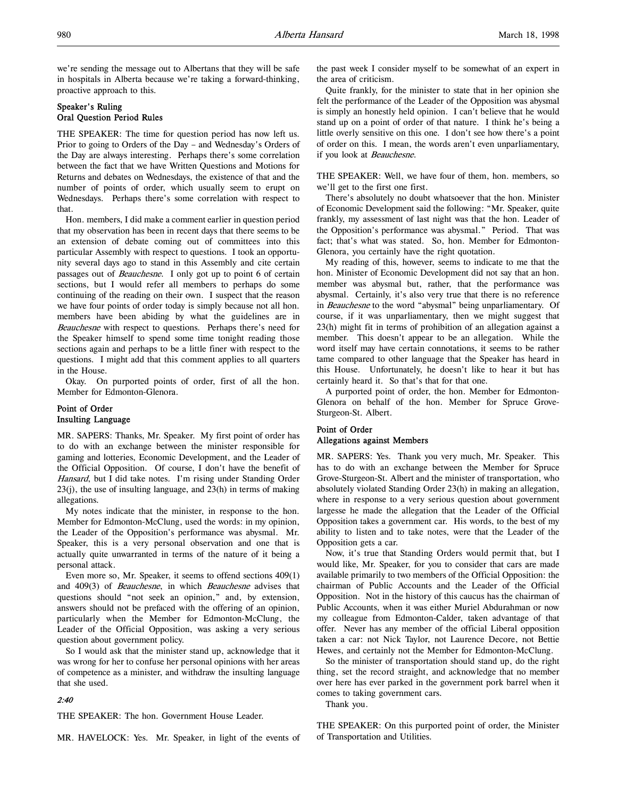we're sending the message out to Albertans that they will be safe in hospitals in Alberta because we're taking a forward-thinking, proactive approach to this.

# Speaker's Ruling Oral Question Period Rules

THE SPEAKER: The time for question period has now left us. Prior to going to Orders of the Day – and Wednesday's Orders of the Day are always interesting. Perhaps there's some correlation between the fact that we have Written Questions and Motions for Returns and debates on Wednesdays, the existence of that and the number of points of order, which usually seem to erupt on Wednesdays. Perhaps there's some correlation with respect to that.

Hon. members, I did make a comment earlier in question period that my observation has been in recent days that there seems to be an extension of debate coming out of committees into this particular Assembly with respect to questions. I took an opportunity several days ago to stand in this Assembly and cite certain passages out of *Beauchesne*. I only got up to point 6 of certain sections, but I would refer all members to perhaps do some continuing of the reading on their own. I suspect that the reason we have four points of order today is simply because not all hon. members have been abiding by what the guidelines are in Beauchesne with respect to questions. Perhaps there's need for the Speaker himself to spend some time tonight reading those sections again and perhaps to be a little finer with respect to the questions. I might add that this comment applies to all quarters in the House.

Okay. On purported points of order, first of all the hon. Member for Edmonton-Glenora.

# Point of Order Insulting Language

MR. SAPERS: Thanks, Mr. Speaker. My first point of order has to do with an exchange between the minister responsible for gaming and lotteries, Economic Development, and the Leader of the Official Opposition. Of course, I don't have the benefit of Hansard, but I did take notes. I'm rising under Standing Order 23(j), the use of insulting language, and 23(h) in terms of making allegations.

My notes indicate that the minister, in response to the hon. Member for Edmonton-McClung, used the words: in my opinion, the Leader of the Opposition's performance was abysmal. Mr. Speaker, this is a very personal observation and one that is actually quite unwarranted in terms of the nature of it being a personal attack.

Even more so, Mr. Speaker, it seems to offend sections 409(1) and 409(3) of Beauchesne, in which Beauchesne advises that questions should "not seek an opinion," and, by extension, answers should not be prefaced with the offering of an opinion, particularly when the Member for Edmonton-McClung, the Leader of the Official Opposition, was asking a very serious question about government policy.

So I would ask that the minister stand up, acknowledge that it was wrong for her to confuse her personal opinions with her areas of competence as a minister, and withdraw the insulting language that she used.

# 2:40

THE SPEAKER: The hon. Government House Leader.

MR. HAVELOCK: Yes. Mr. Speaker, in light of the events of

the past week I consider myself to be somewhat of an expert in the area of criticism.

Quite frankly, for the minister to state that in her opinion she felt the performance of the Leader of the Opposition was abysmal is simply an honestly held opinion. I can't believe that he would stand up on a point of order of that nature. I think he's being a little overly sensitive on this one. I don't see how there's a point of order on this. I mean, the words aren't even unparliamentary, if you look at Beauchesne.

THE SPEAKER: Well, we have four of them, hon. members, so we'll get to the first one first.

There's absolutely no doubt whatsoever that the hon. Minister of Economic Development said the following: "Mr. Speaker, quite frankly, my assessment of last night was that the hon. Leader of the Opposition's performance was abysmal." Period. That was fact; that's what was stated. So, hon. Member for Edmonton-Glenora, you certainly have the right quotation.

My reading of this, however, seems to indicate to me that the hon. Minister of Economic Development did not say that an hon. member was abysmal but, rather, that the performance was abysmal. Certainly, it's also very true that there is no reference in Beauchesne to the word "abysmal" being unparliamentary. Of course, if it was unparliamentary, then we might suggest that 23(h) might fit in terms of prohibition of an allegation against a member. This doesn't appear to be an allegation. While the word itself may have certain connotations, it seems to be rather tame compared to other language that the Speaker has heard in this House. Unfortunately, he doesn't like to hear it but has certainly heard it. So that's that for that one.

A purported point of order, the hon. Member for Edmonton-Glenora on behalf of the hon. Member for Spruce Grove-Sturgeon-St. Albert.

# Point of Order Allegations against Members

MR. SAPERS: Yes. Thank you very much, Mr. Speaker. This has to do with an exchange between the Member for Spruce Grove-Sturgeon-St. Albert and the minister of transportation, who absolutely violated Standing Order 23(h) in making an allegation, where in response to a very serious question about government largesse he made the allegation that the Leader of the Official Opposition takes a government car. His words, to the best of my ability to listen and to take notes, were that the Leader of the Opposition gets a car.

Now, it's true that Standing Orders would permit that, but I would like, Mr. Speaker, for you to consider that cars are made available primarily to two members of the Official Opposition: the chairman of Public Accounts and the Leader of the Official Opposition. Not in the history of this caucus has the chairman of Public Accounts, when it was either Muriel Abdurahman or now my colleague from Edmonton-Calder, taken advantage of that offer. Never has any member of the official Liberal opposition taken a car: not Nick Taylor, not Laurence Decore, not Bettie Hewes, and certainly not the Member for Edmonton-McClung.

So the minister of transportation should stand up, do the right thing, set the record straight, and acknowledge that no member over here has ever parked in the government pork barrel when it comes to taking government cars.

Thank you.

THE SPEAKER: On this purported point of order, the Minister of Transportation and Utilities.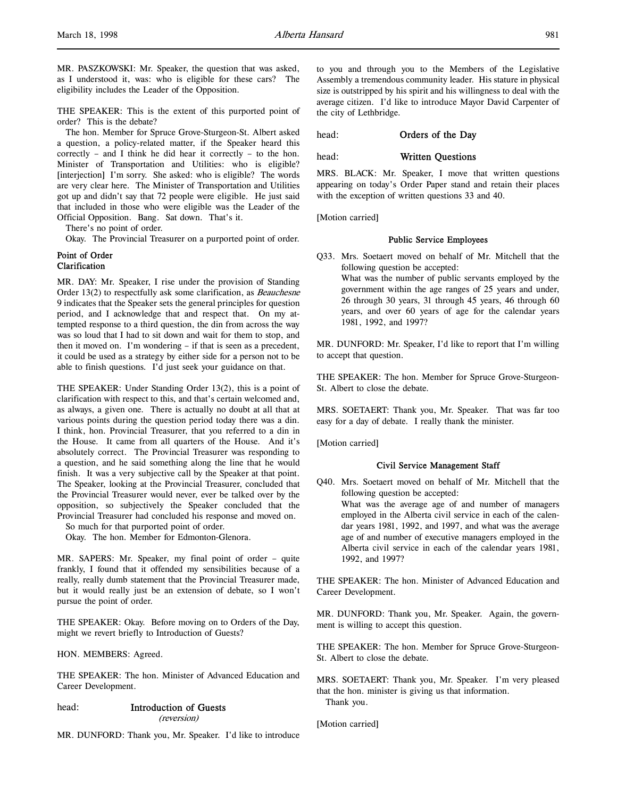MR. PASZKOWSKI: Mr. Speaker, the question that was asked, as I understood it, was: who is eligible for these cars? The eligibility includes the Leader of the Opposition.

THE SPEAKER: This is the extent of this purported point of order? This is the debate?

The hon. Member for Spruce Grove-Sturgeon-St. Albert asked a question, a policy-related matter, if the Speaker heard this correctly – and I think he did hear it correctly – to the hon. Minister of Transportation and Utilities: who is eligible? [interjection] I'm sorry. She asked: who is eligible? The words are very clear here. The Minister of Transportation and Utilities got up and didn't say that 72 people were eligible. He just said that included in those who were eligible was the Leader of the Official Opposition. Bang. Sat down. That's it.

There's no point of order.

Okay. The Provincial Treasurer on a purported point of order.

#### Point of Order Clarification

MR. DAY: Mr. Speaker, I rise under the provision of Standing Order 13(2) to respectfully ask some clarification, as Beauchesne 9 indicates that the Speaker sets the general principles for question period, and I acknowledge that and respect that. On my attempted response to a third question, the din from across the way was so loud that I had to sit down and wait for them to stop, and then it moved on. I'm wondering – if that is seen as a precedent, it could be used as a strategy by either side for a person not to be able to finish questions. I'd just seek your guidance on that.

THE SPEAKER: Under Standing Order 13(2), this is a point of clarification with respect to this, and that's certain welcomed and, as always, a given one. There is actually no doubt at all that at various points during the question period today there was a din. I think, hon. Provincial Treasurer, that you referred to a din in the House. It came from all quarters of the House. And it's absolutely correct. The Provincial Treasurer was responding to a question, and he said something along the line that he would finish. It was a very subjective call by the Speaker at that point. The Speaker, looking at the Provincial Treasurer, concluded that the Provincial Treasurer would never, ever be talked over by the opposition, so subjectively the Speaker concluded that the Provincial Treasurer had concluded his response and moved on.

So much for that purported point of order.

Okay. The hon. Member for Edmonton-Glenora.

MR. SAPERS: Mr. Speaker, my final point of order – quite frankly, I found that it offended my sensibilities because of a really, really dumb statement that the Provincial Treasurer made, but it would really just be an extension of debate, so I won't pursue the point of order.

THE SPEAKER: Okay. Before moving on to Orders of the Day, might we revert briefly to Introduction of Guests?

HON. MEMBERS: Agreed.

THE SPEAKER: The hon. Minister of Advanced Education and Career Development.

#### head: Introduction of Guests

(reversion)

MR. DUNFORD: Thank you, Mr. Speaker. I'd like to introduce

to you and through you to the Members of the Legislative Assembly a tremendous community leader. His stature in physical size is outstripped by his spirit and his willingness to deal with the average citizen. I'd like to introduce Mayor David Carpenter of the city of Lethbridge.

head: **Orders of the Day** 

head: Written Questions

MRS. BLACK: Mr. Speaker, I move that written questions appearing on today's Order Paper stand and retain their places with the exception of written questions 33 and 40.

[Motion carried]

#### Public Service Employees

Q33. Mrs. Soetaert moved on behalf of Mr. Mitchell that the following question be accepted:

What was the number of public servants employed by the government within the age ranges of 25 years and under, 26 through 30 years, 31 through 45 years, 46 through 60 years, and over 60 years of age for the calendar years 1981, 1992, and 1997?

MR. DUNFORD: Mr. Speaker, I'd like to report that I'm willing to accept that question.

THE SPEAKER: The hon. Member for Spruce Grove-Sturgeon-St. Albert to close the debate.

MRS. SOETAERT: Thank you, Mr. Speaker. That was far too easy for a day of debate. I really thank the minister.

[Motion carried]

# Civil Service Management Staff

Q40. Mrs. Soetaert moved on behalf of Mr. Mitchell that the following question be accepted: What was the average age of and number of managers employed in the Alberta civil service in each of the calendar years 1981, 1992, and 1997, and what was the average age of and number of executive managers employed in the Alberta civil service in each of the calendar years 1981, 1992, and 1997?

THE SPEAKER: The hon. Minister of Advanced Education and Career Development.

MR. DUNFORD: Thank you, Mr. Speaker. Again, the government is willing to accept this question.

THE SPEAKER: The hon. Member for Spruce Grove-Sturgeon-St. Albert to close the debate.

MRS. SOETAERT: Thank you, Mr. Speaker. I'm very pleased that the hon. minister is giving us that information. Thank you.

[Motion carried]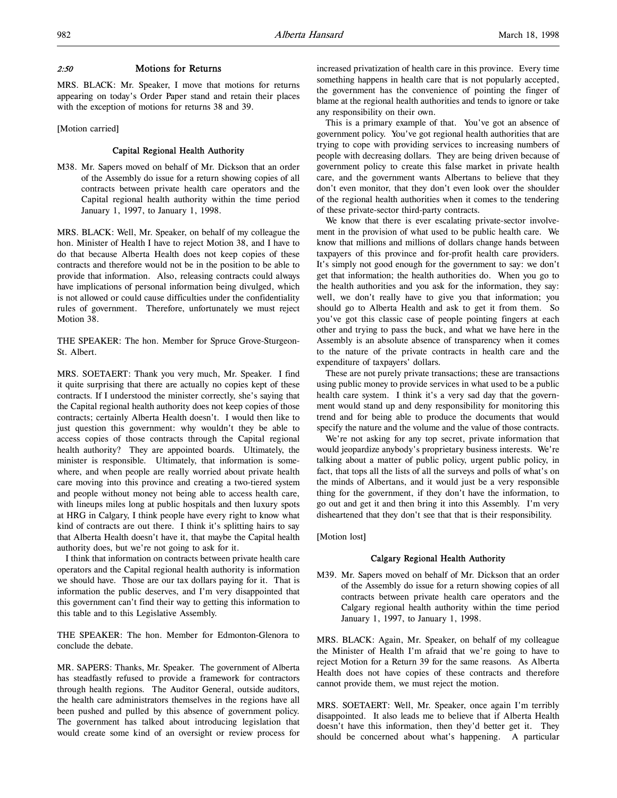# 2:50 Motions for Returns

MRS. BLACK: Mr. Speaker, I move that motions for returns appearing on today's Order Paper stand and retain their places with the exception of motions for returns 38 and 39.

[Motion carried]

#### Capital Regional Health Authority

M38. Mr. Sapers moved on behalf of Mr. Dickson that an order of the Assembly do issue for a return showing copies of all contracts between private health care operators and the Capital regional health authority within the time period January 1, 1997, to January 1, 1998.

MRS. BLACK: Well, Mr. Speaker, on behalf of my colleague the hon. Minister of Health I have to reject Motion 38, and I have to do that because Alberta Health does not keep copies of these contracts and therefore would not be in the position to be able to provide that information. Also, releasing contracts could always have implications of personal information being divulged, which is not allowed or could cause difficulties under the confidentiality rules of government. Therefore, unfortunately we must reject Motion 38.

THE SPEAKER: The hon. Member for Spruce Grove-Sturgeon-St. Albert.

MRS. SOETAERT: Thank you very much, Mr. Speaker. I find it quite surprising that there are actually no copies kept of these contracts. If I understood the minister correctly, she's saying that the Capital regional health authority does not keep copies of those contracts; certainly Alberta Health doesn't. I would then like to just question this government: why wouldn't they be able to access copies of those contracts through the Capital regional health authority? They are appointed boards. Ultimately, the minister is responsible. Ultimately, that information is somewhere, and when people are really worried about private health care moving into this province and creating a two-tiered system and people without money not being able to access health care, with lineups miles long at public hospitals and then luxury spots at HRG in Calgary, I think people have every right to know what kind of contracts are out there. I think it's splitting hairs to say that Alberta Health doesn't have it, that maybe the Capital health authority does, but we're not going to ask for it.

I think that information on contracts between private health care operators and the Capital regional health authority is information we should have. Those are our tax dollars paying for it. That is information the public deserves, and I'm very disappointed that this government can't find their way to getting this information to this table and to this Legislative Assembly.

THE SPEAKER: The hon. Member for Edmonton-Glenora to conclude the debate.

MR. SAPERS: Thanks, Mr. Speaker. The government of Alberta has steadfastly refused to provide a framework for contractors through health regions. The Auditor General, outside auditors, the health care administrators themselves in the regions have all been pushed and pulled by this absence of government policy. The government has talked about introducing legislation that would create some kind of an oversight or review process for increased privatization of health care in this province. Every time something happens in health care that is not popularly accepted, the government has the convenience of pointing the finger of blame at the regional health authorities and tends to ignore or take any responsibility on their own.

This is a primary example of that. You've got an absence of government policy. You've got regional health authorities that are trying to cope with providing services to increasing numbers of people with decreasing dollars. They are being driven because of government policy to create this false market in private health care, and the government wants Albertans to believe that they don't even monitor, that they don't even look over the shoulder of the regional health authorities when it comes to the tendering of these private-sector third-party contracts.

We know that there is ever escalating private-sector involvement in the provision of what used to be public health care. We know that millions and millions of dollars change hands between taxpayers of this province and for-profit health care providers. It's simply not good enough for the government to say: we don't get that information; the health authorities do. When you go to the health authorities and you ask for the information, they say: well, we don't really have to give you that information; you should go to Alberta Health and ask to get it from them. So you've got this classic case of people pointing fingers at each other and trying to pass the buck, and what we have here in the Assembly is an absolute absence of transparency when it comes to the nature of the private contracts in health care and the expenditure of taxpayers' dollars.

These are not purely private transactions; these are transactions using public money to provide services in what used to be a public health care system. I think it's a very sad day that the government would stand up and deny responsibility for monitoring this trend and for being able to produce the documents that would specify the nature and the volume and the value of those contracts.

We're not asking for any top secret, private information that would jeopardize anybody's proprietary business interests. We're talking about a matter of public policy, urgent public policy, in fact, that tops all the lists of all the surveys and polls of what's on the minds of Albertans, and it would just be a very responsible thing for the government, if they don't have the information, to go out and get it and then bring it into this Assembly. I'm very disheartened that they don't see that that is their responsibility.

[Motion lost]

# Calgary Regional Health Authority

M39. Mr. Sapers moved on behalf of Mr. Dickson that an order of the Assembly do issue for a return showing copies of all contracts between private health care operators and the Calgary regional health authority within the time period January 1, 1997, to January 1, 1998.

MRS. BLACK: Again, Mr. Speaker, on behalf of my colleague the Minister of Health I'm afraid that we're going to have to reject Motion for a Return 39 for the same reasons. As Alberta Health does not have copies of these contracts and therefore cannot provide them, we must reject the motion.

MRS. SOETAERT: Well, Mr. Speaker, once again I'm terribly disappointed. It also leads me to believe that if Alberta Health doesn't have this information, then they'd better get it. They should be concerned about what's happening. A particular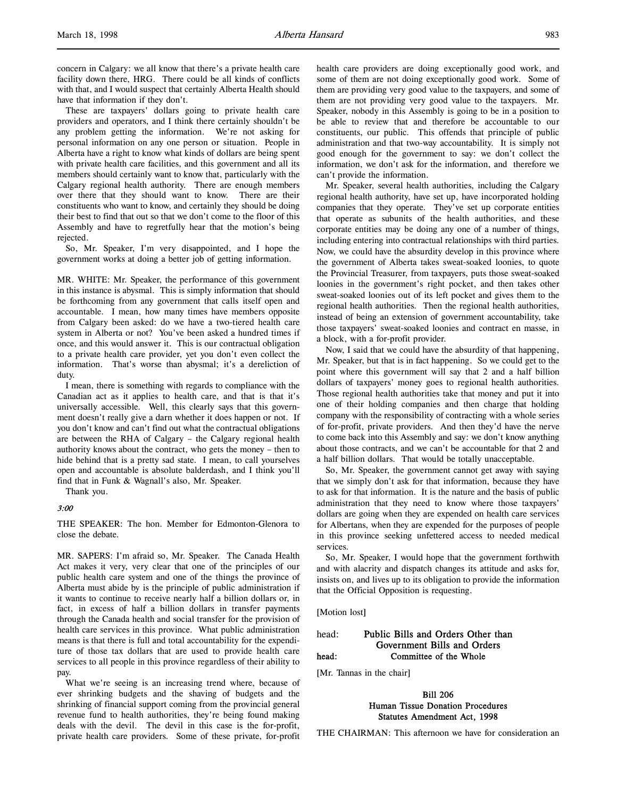concern in Calgary: we all know that there's a private health care facility down there, HRG. There could be all kinds of conflicts with that, and I would suspect that certainly Alberta Health should have that information if they don't.

These are taxpayers' dollars going to private health care providers and operators, and I think there certainly shouldn't be any problem getting the information. We're not asking for personal information on any one person or situation. People in Alberta have a right to know what kinds of dollars are being spent with private health care facilities, and this government and all its members should certainly want to know that, particularly with the Calgary regional health authority. There are enough members over there that they should want to know. There are their constituents who want to know, and certainly they should be doing their best to find that out so that we don't come to the floor of this Assembly and have to regretfully hear that the motion's being rejected.

So, Mr. Speaker, I'm very disappointed, and I hope the government works at doing a better job of getting information.

MR. WHITE: Mr. Speaker, the performance of this government in this instance is abysmal. This is simply information that should be forthcoming from any government that calls itself open and accountable. I mean, how many times have members opposite from Calgary been asked: do we have a two-tiered health care system in Alberta or not? You've been asked a hundred times if once, and this would answer it. This is our contractual obligation to a private health care provider, yet you don't even collect the information. That's worse than abysmal; it's a dereliction of duty.

I mean, there is something with regards to compliance with the Canadian act as it applies to health care, and that is that it's universally accessible. Well, this clearly says that this government doesn't really give a darn whether it does happen or not. If you don't know and can't find out what the contractual obligations are between the RHA of Calgary – the Calgary regional health authority knows about the contract, who gets the money – then to hide behind that is a pretty sad state. I mean, to call yourselves open and accountable is absolute balderdash, and I think you'll find that in Funk & Wagnall's also, Mr. Speaker.

Thank you.

# 3:00

THE SPEAKER: The hon. Member for Edmonton-Glenora to close the debate.

MR. SAPERS: I'm afraid so, Mr. Speaker. The Canada Health Act makes it very, very clear that one of the principles of our public health care system and one of the things the province of Alberta must abide by is the principle of public administration if it wants to continue to receive nearly half a billion dollars or, in fact, in excess of half a billion dollars in transfer payments through the Canada health and social transfer for the provision of health care services in this province. What public administration means is that there is full and total accountability for the expenditure of those tax dollars that are used to provide health care services to all people in this province regardless of their ability to pay.

What we're seeing is an increasing trend where, because of ever shrinking budgets and the shaving of budgets and the shrinking of financial support coming from the provincial general revenue fund to health authorities, they're being found making deals with the devil. The devil in this case is the for-profit, private health care providers. Some of these private, for-profit

health care providers are doing exceptionally good work, and some of them are not doing exceptionally good work. Some of them are providing very good value to the taxpayers, and some of them are not providing very good value to the taxpayers. Mr. Speaker, nobody in this Assembly is going to be in a position to be able to review that and therefore be accountable to our constituents, our public. This offends that principle of public administration and that two-way accountability. It is simply not good enough for the government to say: we don't collect the information, we don't ask for the information, and therefore we can't provide the information.

Mr. Speaker, several health authorities, including the Calgary regional health authority, have set up, have incorporated holding companies that they operate. They've set up corporate entities that operate as subunits of the health authorities, and these corporate entities may be doing any one of a number of things, including entering into contractual relationships with third parties. Now, we could have the absurdity develop in this province where the government of Alberta takes sweat-soaked loonies, to quote the Provincial Treasurer, from taxpayers, puts those sweat-soaked loonies in the government's right pocket, and then takes other sweat-soaked loonies out of its left pocket and gives them to the regional health authorities. Then the regional health authorities, instead of being an extension of government accountability, take those taxpayers' sweat-soaked loonies and contract en masse, in a block, with a for-profit provider.

Now, I said that we could have the absurdity of that happening, Mr. Speaker, but that is in fact happening. So we could get to the point where this government will say that 2 and a half billion dollars of taxpayers' money goes to regional health authorities. Those regional health authorities take that money and put it into one of their holding companies and then charge that holding company with the responsibility of contracting with a whole series of for-profit, private providers. And then they'd have the nerve to come back into this Assembly and say: we don't know anything about those contracts, and we can't be accountable for that 2 and a half billion dollars. That would be totally unacceptable.

So, Mr. Speaker, the government cannot get away with saying that we simply don't ask for that information, because they have to ask for that information. It is the nature and the basis of public administration that they need to know where those taxpayers' dollars are going when they are expended on health care services for Albertans, when they are expended for the purposes of people in this province seeking unfettered access to needed medical services.

So, Mr. Speaker, I would hope that the government forthwith and with alacrity and dispatch changes its attitude and asks for, insists on, and lives up to its obligation to provide the information that the Official Opposition is requesting.

[Motion lost]

# head: Public Bills and Orders Other than Government Bills and Orders head: Committee of the Whole

[Mr. Tannas in the chair]

# Bill 206 Human Tissue Donation Procedures Statutes Amendment Act, 1998

THE CHAIRMAN: This afternoon we have for consideration an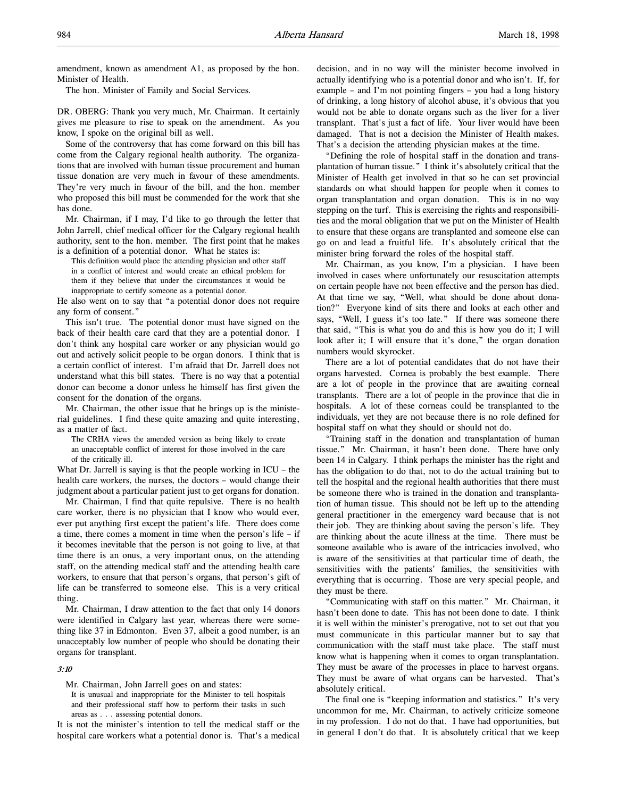amendment, known as amendment A1, as proposed by the hon. Minister of Health.

The hon. Minister of Family and Social Services.

DR. OBERG: Thank you very much, Mr. Chairman. It certainly gives me pleasure to rise to speak on the amendment. As you know, I spoke on the original bill as well.

Some of the controversy that has come forward on this bill has come from the Calgary regional health authority. The organizations that are involved with human tissue procurement and human tissue donation are very much in favour of these amendments. They're very much in favour of the bill, and the hon. member who proposed this bill must be commended for the work that she has done.

Mr. Chairman, if I may, I'd like to go through the letter that John Jarrell, chief medical officer for the Calgary regional health authority, sent to the hon. member. The first point that he makes is a definition of a potential donor. What he states is:

This definition would place the attending physician and other staff in a conflict of interest and would create an ethical problem for them if they believe that under the circumstances it would be inappropriate to certify someone as a potential donor.

He also went on to say that "a potential donor does not require any form of consent."

This isn't true. The potential donor must have signed on the back of their health care card that they are a potential donor. I don't think any hospital care worker or any physician would go out and actively solicit people to be organ donors. I think that is a certain conflict of interest. I'm afraid that Dr. Jarrell does not understand what this bill states. There is no way that a potential donor can become a donor unless he himself has first given the consent for the donation of the organs.

Mr. Chairman, the other issue that he brings up is the ministerial guidelines. I find these quite amazing and quite interesting, as a matter of fact.

The CRHA views the amended version as being likely to create an unacceptable conflict of interest for those involved in the care of the critically ill.

What Dr. Jarrell is saying is that the people working in ICU – the health care workers, the nurses, the doctors – would change their judgment about a particular patient just to get organs for donation.

Mr. Chairman, I find that quite repulsive. There is no health care worker, there is no physician that I know who would ever, ever put anything first except the patient's life. There does come a time, there comes a moment in time when the person's life – if it becomes inevitable that the person is not going to live, at that time there is an onus, a very important onus, on the attending staff, on the attending medical staff and the attending health care workers, to ensure that that person's organs, that person's gift of life can be transferred to someone else. This is a very critical thing.

Mr. Chairman, I draw attention to the fact that only 14 donors were identified in Calgary last year, whereas there were something like 37 in Edmonton. Even 37, albeit a good number, is an unacceptably low number of people who should be donating their organs for transplant.

#### 3:10

Mr. Chairman, John Jarrell goes on and states:

It is unusual and inappropriate for the Minister to tell hospitals and their professional staff how to perform their tasks in such areas as . . . assessing potential donors.

It is not the minister's intention to tell the medical staff or the hospital care workers what a potential donor is. That's a medical decision, and in no way will the minister become involved in actually identifying who is a potential donor and who isn't. If, for example – and I'm not pointing fingers – you had a long history of drinking, a long history of alcohol abuse, it's obvious that you would not be able to donate organs such as the liver for a liver transplant. That's just a fact of life. Your liver would have been damaged. That is not a decision the Minister of Health makes. That's a decision the attending physician makes at the time.

"Defining the role of hospital staff in the donation and transplantation of human tissue." I think it's absolutely critical that the Minister of Health get involved in that so he can set provincial standards on what should happen for people when it comes to organ transplantation and organ donation. This is in no way stepping on the turf. This is exercising the rights and responsibilities and the moral obligation that we put on the Minister of Health to ensure that these organs are transplanted and someone else can go on and lead a fruitful life. It's absolutely critical that the minister bring forward the roles of the hospital staff.

Mr. Chairman, as you know, I'm a physician. I have been involved in cases where unfortunately our resuscitation attempts on certain people have not been effective and the person has died. At that time we say, "Well, what should be done about donation?" Everyone kind of sits there and looks at each other and says, "Well, I guess it's too late." If there was someone there that said, "This is what you do and this is how you do it; I will look after it; I will ensure that it's done," the organ donation numbers would skyrocket.

There are a lot of potential candidates that do not have their organs harvested. Cornea is probably the best example. There are a lot of people in the province that are awaiting corneal transplants. There are a lot of people in the province that die in hospitals. A lot of these corneas could be transplanted to the individuals, yet they are not because there is no role defined for hospital staff on what they should or should not do.

"Training staff in the donation and transplantation of human tissue." Mr. Chairman, it hasn't been done. There have only been 14 in Calgary. I think perhaps the minister has the right and has the obligation to do that, not to do the actual training but to tell the hospital and the regional health authorities that there must be someone there who is trained in the donation and transplantation of human tissue. This should not be left up to the attending general practitioner in the emergency ward because that is not their job. They are thinking about saving the person's life. They are thinking about the acute illness at the time. There must be someone available who is aware of the intricacies involved, who is aware of the sensitivities at that particular time of death, the sensitivities with the patients' families, the sensitivities with everything that is occurring. Those are very special people, and they must be there.

"Communicating with staff on this matter." Mr. Chairman, it hasn't been done to date. This has not been done to date. I think it is well within the minister's prerogative, not to set out that you must communicate in this particular manner but to say that communication with the staff must take place. The staff must know what is happening when it comes to organ transplantation. They must be aware of the processes in place to harvest organs. They must be aware of what organs can be harvested. That's absolutely critical.

The final one is "keeping information and statistics." It's very uncommon for me, Mr. Chairman, to actively criticize someone in my profession. I do not do that. I have had opportunities, but in general I don't do that. It is absolutely critical that we keep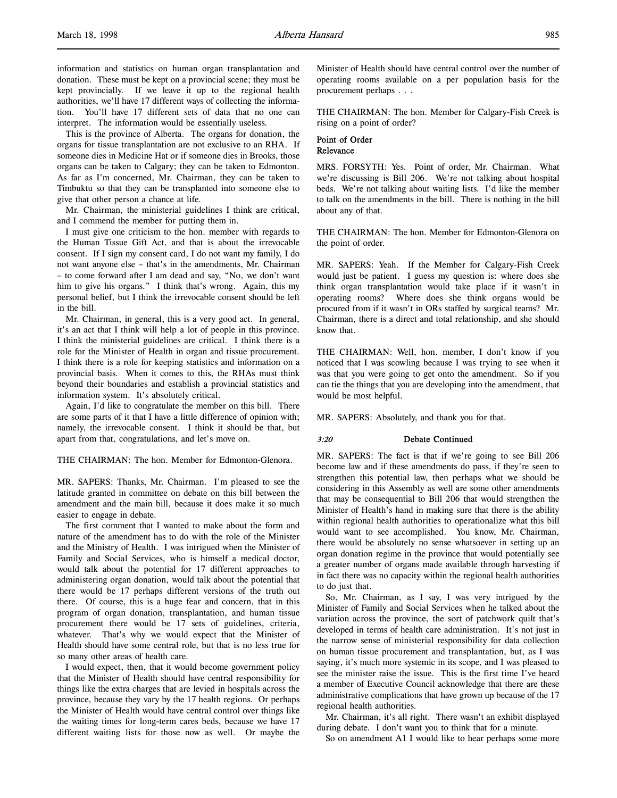This is the province of Alberta. The organs for donation, the organs for tissue transplantation are not exclusive to an RHA. If someone dies in Medicine Hat or if someone dies in Brooks, those organs can be taken to Calgary; they can be taken to Edmonton. As far as I'm concerned, Mr. Chairman, they can be taken to Timbuktu so that they can be transplanted into someone else to give that other person a chance at life.

Mr. Chairman, the ministerial guidelines I think are critical, and I commend the member for putting them in.

I must give one criticism to the hon. member with regards to the Human Tissue Gift Act, and that is about the irrevocable consent. If I sign my consent card, I do not want my family, I do not want anyone else – that's in the amendments, Mr. Chairman – to come forward after I am dead and say, "No, we don't want him to give his organs." I think that's wrong. Again, this my personal belief, but I think the irrevocable consent should be left in the bill.

Mr. Chairman, in general, this is a very good act. In general, it's an act that I think will help a lot of people in this province. I think the ministerial guidelines are critical. I think there is a role for the Minister of Health in organ and tissue procurement. I think there is a role for keeping statistics and information on a provincial basis. When it comes to this, the RHAs must think beyond their boundaries and establish a provincial statistics and information system. It's absolutely critical.

Again, I'd like to congratulate the member on this bill. There are some parts of it that I have a little difference of opinion with; namely, the irrevocable consent. I think it should be that, but apart from that, congratulations, and let's move on.

THE CHAIRMAN: The hon. Member for Edmonton-Glenora.

MR. SAPERS: Thanks, Mr. Chairman. I'm pleased to see the latitude granted in committee on debate on this bill between the amendment and the main bill, because it does make it so much easier to engage in debate.

The first comment that I wanted to make about the form and nature of the amendment has to do with the role of the Minister and the Ministry of Health. I was intrigued when the Minister of Family and Social Services, who is himself a medical doctor, would talk about the potential for 17 different approaches to administering organ donation, would talk about the potential that there would be 17 perhaps different versions of the truth out there. Of course, this is a huge fear and concern, that in this program of organ donation, transplantation, and human tissue procurement there would be 17 sets of guidelines, criteria, whatever. That's why we would expect that the Minister of Health should have some central role, but that is no less true for so many other areas of health care.

I would expect, then, that it would become government policy that the Minister of Health should have central responsibility for things like the extra charges that are levied in hospitals across the province, because they vary by the 17 health regions. Or perhaps the Minister of Health would have central control over things like the waiting times for long-term cares beds, because we have 17 different waiting lists for those now as well. Or maybe the Minister of Health should have central control over the number of operating rooms available on a per population basis for the procurement perhaps . . .

THE CHAIRMAN: The hon. Member for Calgary-Fish Creek is rising on a point of order?

#### Point of Order Relevance

MRS. FORSYTH: Yes. Point of order, Mr. Chairman. What we're discussing is Bill 206. We're not talking about hospital beds. We're not talking about waiting lists. I'd like the member to talk on the amendments in the bill. There is nothing in the bill about any of that.

THE CHAIRMAN: The hon. Member for Edmonton-Glenora on the point of order.

MR. SAPERS: Yeah. If the Member for Calgary-Fish Creek would just be patient. I guess my question is: where does she think organ transplantation would take place if it wasn't in operating rooms? Where does she think organs would be procured from if it wasn't in ORs staffed by surgical teams? Mr. Chairman, there is a direct and total relationship, and she should know that.

THE CHAIRMAN: Well, hon. member, I don't know if you noticed that I was scowling because I was trying to see when it was that you were going to get onto the amendment. So if you can tie the things that you are developing into the amendment, that would be most helpful.

MR. SAPERS: Absolutely, and thank you for that.

#### 3:20 Debate Continued

MR. SAPERS: The fact is that if we're going to see Bill 206 become law and if these amendments do pass, if they're seen to strengthen this potential law, then perhaps what we should be considering in this Assembly as well are some other amendments that may be consequential to Bill 206 that would strengthen the Minister of Health's hand in making sure that there is the ability within regional health authorities to operationalize what this bill would want to see accomplished. You know, Mr. Chairman, there would be absolutely no sense whatsoever in setting up an organ donation regime in the province that would potentially see a greater number of organs made available through harvesting if in fact there was no capacity within the regional health authorities to do just that.

So, Mr. Chairman, as I say, I was very intrigued by the Minister of Family and Social Services when he talked about the variation across the province, the sort of patchwork quilt that's developed in terms of health care administration. It's not just in the narrow sense of ministerial responsibility for data collection on human tissue procurement and transplantation, but, as I was saying, it's much more systemic in its scope, and I was pleased to see the minister raise the issue. This is the first time I've heard a member of Executive Council acknowledge that there are these administrative complications that have grown up because of the 17 regional health authorities.

Mr. Chairman, it's all right. There wasn't an exhibit displayed during debate. I don't want you to think that for a minute.

So on amendment A1 I would like to hear perhaps some more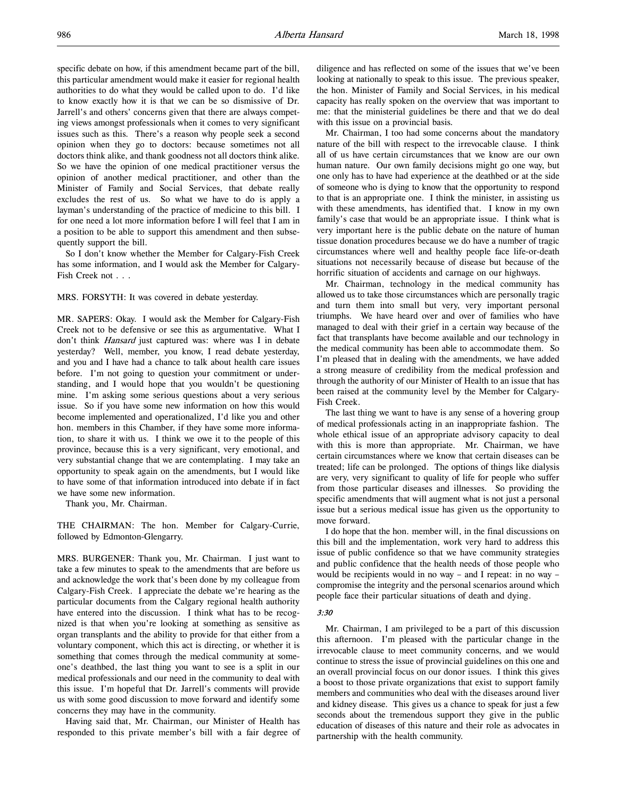specific debate on how, if this amendment became part of the bill, this particular amendment would make it easier for regional health authorities to do what they would be called upon to do. I'd like to know exactly how it is that we can be so dismissive of Dr. Jarrell's and others' concerns given that there are always competing views amongst professionals when it comes to very significant issues such as this. There's a reason why people seek a second opinion when they go to doctors: because sometimes not all doctors think alike, and thank goodness not all doctors think alike. So we have the opinion of one medical practitioner versus the opinion of another medical practitioner, and other than the Minister of Family and Social Services, that debate really excludes the rest of us. So what we have to do is apply a layman's understanding of the practice of medicine to this bill. I for one need a lot more information before I will feel that I am in a position to be able to support this amendment and then subsequently support the bill.

So I don't know whether the Member for Calgary-Fish Creek has some information, and I would ask the Member for Calgary-Fish Creek not . . .

#### MRS. FORSYTH: It was covered in debate yesterday.

MR. SAPERS: Okay. I would ask the Member for Calgary-Fish Creek not to be defensive or see this as argumentative. What I don't think Hansard just captured was: where was I in debate yesterday? Well, member, you know, I read debate yesterday, and you and I have had a chance to talk about health care issues before. I'm not going to question your commitment or understanding, and I would hope that you wouldn't be questioning mine. I'm asking some serious questions about a very serious issue. So if you have some new information on how this would become implemented and operationalized, I'd like you and other hon. members in this Chamber, if they have some more information, to share it with us. I think we owe it to the people of this province, because this is a very significant, very emotional, and very substantial change that we are contemplating. I may take an opportunity to speak again on the amendments, but I would like to have some of that information introduced into debate if in fact we have some new information.

Thank you, Mr. Chairman.

THE CHAIRMAN: The hon. Member for Calgary-Currie, followed by Edmonton-Glengarry.

MRS. BURGENER: Thank you, Mr. Chairman. I just want to take a few minutes to speak to the amendments that are before us and acknowledge the work that's been done by my colleague from Calgary-Fish Creek. I appreciate the debate we're hearing as the particular documents from the Calgary regional health authority have entered into the discussion. I think what has to be recognized is that when you're looking at something as sensitive as organ transplants and the ability to provide for that either from a voluntary component, which this act is directing, or whether it is something that comes through the medical community at someone's deathbed, the last thing you want to see is a split in our medical professionals and our need in the community to deal with this issue. I'm hopeful that Dr. Jarrell's comments will provide us with some good discussion to move forward and identify some concerns they may have in the community.

Having said that, Mr. Chairman, our Minister of Health has responded to this private member's bill with a fair degree of diligence and has reflected on some of the issues that we've been looking at nationally to speak to this issue. The previous speaker, the hon. Minister of Family and Social Services, in his medical capacity has really spoken on the overview that was important to me: that the ministerial guidelines be there and that we do deal with this issue on a provincial basis.

Mr. Chairman, I too had some concerns about the mandatory nature of the bill with respect to the irrevocable clause. I think all of us have certain circumstances that we know are our own human nature. Our own family decisions might go one way, but one only has to have had experience at the deathbed or at the side of someone who is dying to know that the opportunity to respond to that is an appropriate one. I think the minister, in assisting us with these amendments, has identified that. I know in my own family's case that would be an appropriate issue. I think what is very important here is the public debate on the nature of human tissue donation procedures because we do have a number of tragic circumstances where well and healthy people face life-or-death situations not necessarily because of disease but because of the horrific situation of accidents and carnage on our highways.

Mr. Chairman, technology in the medical community has allowed us to take those circumstances which are personally tragic and turn them into small but very, very important personal triumphs. We have heard over and over of families who have managed to deal with their grief in a certain way because of the fact that transplants have become available and our technology in the medical community has been able to accommodate them. So I'm pleased that in dealing with the amendments, we have added a strong measure of credibility from the medical profession and through the authority of our Minister of Health to an issue that has been raised at the community level by the Member for Calgary-Fish Creek.

The last thing we want to have is any sense of a hovering group of medical professionals acting in an inappropriate fashion. The whole ethical issue of an appropriate advisory capacity to deal with this is more than appropriate. Mr. Chairman, we have certain circumstances where we know that certain diseases can be treated; life can be prolonged. The options of things like dialysis are very, very significant to quality of life for people who suffer from those particular diseases and illnesses. So providing the specific amendments that will augment what is not just a personal issue but a serious medical issue has given us the opportunity to move forward.

I do hope that the hon. member will, in the final discussions on this bill and the implementation, work very hard to address this issue of public confidence so that we have community strategies and public confidence that the health needs of those people who would be recipients would in no way – and I repeat: in no way – compromise the integrity and the personal scenarios around which people face their particular situations of death and dying.

#### 3:30

Mr. Chairman, I am privileged to be a part of this discussion this afternoon. I'm pleased with the particular change in the irrevocable clause to meet community concerns, and we would continue to stress the issue of provincial guidelines on this one and an overall provincial focus on our donor issues. I think this gives a boost to those private organizations that exist to support family members and communities who deal with the diseases around liver and kidney disease. This gives us a chance to speak for just a few seconds about the tremendous support they give in the public education of diseases of this nature and their role as advocates in partnership with the health community.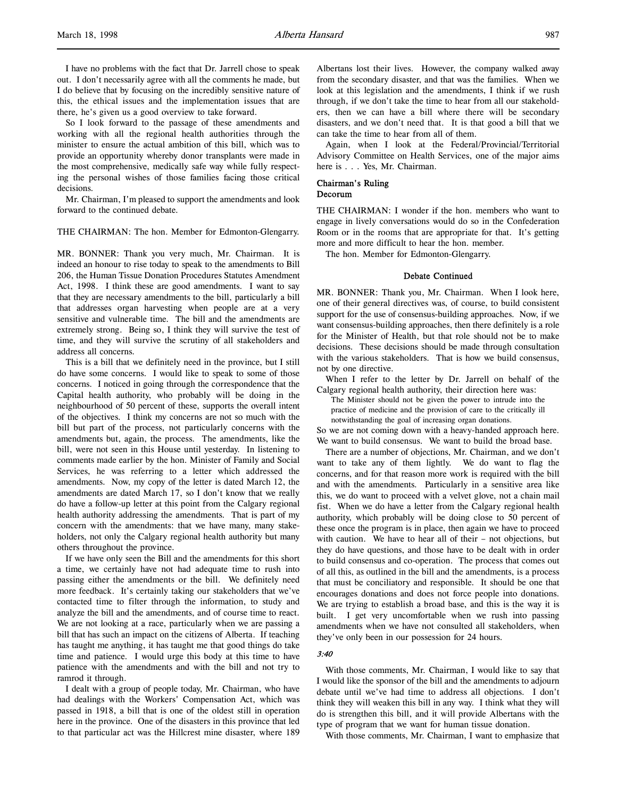I have no problems with the fact that Dr. Jarrell chose to speak out. I don't necessarily agree with all the comments he made, but I do believe that by focusing on the incredibly sensitive nature of this, the ethical issues and the implementation issues that are there, he's given us a good overview to take forward.

So I look forward to the passage of these amendments and working with all the regional health authorities through the minister to ensure the actual ambition of this bill, which was to provide an opportunity whereby donor transplants were made in the most comprehensive, medically safe way while fully respecting the personal wishes of those families facing those critical decisions.

Mr. Chairman, I'm pleased to support the amendments and look forward to the continued debate.

#### THE CHAIRMAN: The hon. Member for Edmonton-Glengarry.

MR. BONNER: Thank you very much, Mr. Chairman. It is indeed an honour to rise today to speak to the amendments to Bill 206, the Human Tissue Donation Procedures Statutes Amendment Act, 1998. I think these are good amendments. I want to say that they are necessary amendments to the bill, particularly a bill that addresses organ harvesting when people are at a very sensitive and vulnerable time. The bill and the amendments are extremely strong. Being so, I think they will survive the test of time, and they will survive the scrutiny of all stakeholders and address all concerns.

This is a bill that we definitely need in the province, but I still do have some concerns. I would like to speak to some of those concerns. I noticed in going through the correspondence that the Capital health authority, who probably will be doing in the neighbourhood of 50 percent of these, supports the overall intent of the objectives. I think my concerns are not so much with the bill but part of the process, not particularly concerns with the amendments but, again, the process. The amendments, like the bill, were not seen in this House until yesterday. In listening to comments made earlier by the hon. Minister of Family and Social Services, he was referring to a letter which addressed the amendments. Now, my copy of the letter is dated March 12, the amendments are dated March 17, so I don't know that we really do have a follow-up letter at this point from the Calgary regional health authority addressing the amendments. That is part of my concern with the amendments: that we have many, many stakeholders, not only the Calgary regional health authority but many others throughout the province.

If we have only seen the Bill and the amendments for this short a time, we certainly have not had adequate time to rush into passing either the amendments or the bill. We definitely need more feedback. It's certainly taking our stakeholders that we've contacted time to filter through the information, to study and analyze the bill and the amendments, and of course time to react. We are not looking at a race, particularly when we are passing a bill that has such an impact on the citizens of Alberta. If teaching has taught me anything, it has taught me that good things do take time and patience. I would urge this body at this time to have patience with the amendments and with the bill and not try to ramrod it through.

I dealt with a group of people today, Mr. Chairman, who have had dealings with the Workers' Compensation Act, which was passed in 1918, a bill that is one of the oldest still in operation here in the province. One of the disasters in this province that led to that particular act was the Hillcrest mine disaster, where 189

Albertans lost their lives. However, the company walked away from the secondary disaster, and that was the families. When we look at this legislation and the amendments, I think if we rush through, if we don't take the time to hear from all our stakeholders, then we can have a bill where there will be secondary disasters, and we don't need that. It is that good a bill that we can take the time to hear from all of them.

Again, when I look at the Federal/Provincial/Territorial Advisory Committee on Health Services, one of the major aims here is . . . Yes, Mr. Chairman.

# Chairman's Ruling

# Decorum

THE CHAIRMAN: I wonder if the hon. members who want to engage in lively conversations would do so in the Confederation Room or in the rooms that are appropriate for that. It's getting more and more difficult to hear the hon. member.

The hon. Member for Edmonton-Glengarry.

#### Debate Continued

MR. BONNER: Thank you, Mr. Chairman. When I look here, one of their general directives was, of course, to build consistent support for the use of consensus-building approaches. Now, if we want consensus-building approaches, then there definitely is a role for the Minister of Health, but that role should not be to make decisions. These decisions should be made through consultation with the various stakeholders. That is how we build consensus, not by one directive.

When I refer to the letter by Dr. Jarrell on behalf of the Calgary regional health authority, their direction here was:

The Minister should not be given the power to intrude into the practice of medicine and the provision of care to the critically ill notwithstanding the goal of increasing organ donations.

So we are not coming down with a heavy-handed approach here. We want to build consensus. We want to build the broad base.

There are a number of objections, Mr. Chairman, and we don't want to take any of them lightly. We do want to flag the concerns, and for that reason more work is required with the bill and with the amendments. Particularly in a sensitive area like this, we do want to proceed with a velvet glove, not a chain mail fist. When we do have a letter from the Calgary regional health authority, which probably will be doing close to 50 percent of these once the program is in place, then again we have to proceed with caution. We have to hear all of their – not objections, but they do have questions, and those have to be dealt with in order to build consensus and co-operation. The process that comes out of all this, as outlined in the bill and the amendments, is a process that must be conciliatory and responsible. It should be one that encourages donations and does not force people into donations. We are trying to establish a broad base, and this is the way it is built. I get very uncomfortable when we rush into passing amendments when we have not consulted all stakeholders, when they've only been in our possession for 24 hours.

# 3:40

With those comments, Mr. Chairman, I would like to say that I would like the sponsor of the bill and the amendments to adjourn debate until we've had time to address all objections. I don't think they will weaken this bill in any way. I think what they will do is strengthen this bill, and it will provide Albertans with the type of program that we want for human tissue donation.

With those comments, Mr. Chairman, I want to emphasize that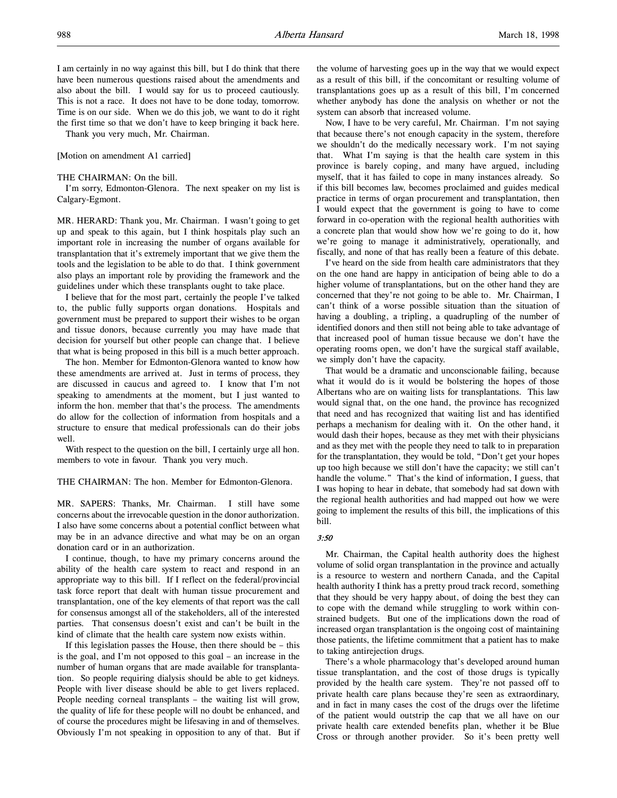[Motion on amendment A1 carried]

#### THE CHAIRMAN: On the bill.

I'm sorry, Edmonton-Glenora. The next speaker on my list is Calgary-Egmont.

MR. HERARD: Thank you, Mr. Chairman. I wasn't going to get up and speak to this again, but I think hospitals play such an important role in increasing the number of organs available for transplantation that it's extremely important that we give them the tools and the legislation to be able to do that. I think government also plays an important role by providing the framework and the guidelines under which these transplants ought to take place.

I believe that for the most part, certainly the people I've talked to, the public fully supports organ donations. Hospitals and government must be prepared to support their wishes to be organ and tissue donors, because currently you may have made that decision for yourself but other people can change that. I believe that what is being proposed in this bill is a much better approach.

The hon. Member for Edmonton-Glenora wanted to know how these amendments are arrived at. Just in terms of process, they are discussed in caucus and agreed to. I know that I'm not speaking to amendments at the moment, but I just wanted to inform the hon. member that that's the process. The amendments do allow for the collection of information from hospitals and a structure to ensure that medical professionals can do their jobs well.

With respect to the question on the bill, I certainly urge all hon. members to vote in favour. Thank you very much.

#### THE CHAIRMAN: The hon. Member for Edmonton-Glenora.

MR. SAPERS: Thanks, Mr. Chairman. I still have some concerns about the irrevocable question in the donor authorization. I also have some concerns about a potential conflict between what may be in an advance directive and what may be on an organ donation card or in an authorization.

I continue, though, to have my primary concerns around the ability of the health care system to react and respond in an appropriate way to this bill. If I reflect on the federal/provincial task force report that dealt with human tissue procurement and transplantation, one of the key elements of that report was the call for consensus amongst all of the stakeholders, all of the interested parties. That consensus doesn't exist and can't be built in the kind of climate that the health care system now exists within.

If this legislation passes the House, then there should be  $-$  this is the goal, and I'm not opposed to this goal – an increase in the number of human organs that are made available for transplantation. So people requiring dialysis should be able to get kidneys. People with liver disease should be able to get livers replaced. People needing corneal transplants – the waiting list will grow, the quality of life for these people will no doubt be enhanced, and of course the procedures might be lifesaving in and of themselves. Obviously I'm not speaking in opposition to any of that. But if the volume of harvesting goes up in the way that we would expect as a result of this bill, if the concomitant or resulting volume of transplantations goes up as a result of this bill, I'm concerned whether anybody has done the analysis on whether or not the system can absorb that increased volume.

Now, I have to be very careful, Mr. Chairman. I'm not saying that because there's not enough capacity in the system, therefore we shouldn't do the medically necessary work. I'm not saying that. What I'm saying is that the health care system in this province is barely coping, and many have argued, including myself, that it has failed to cope in many instances already. So if this bill becomes law, becomes proclaimed and guides medical practice in terms of organ procurement and transplantation, then I would expect that the government is going to have to come forward in co-operation with the regional health authorities with a concrete plan that would show how we're going to do it, how we're going to manage it administratively, operationally, and fiscally, and none of that has really been a feature of this debate.

I've heard on the side from health care administrators that they on the one hand are happy in anticipation of being able to do a higher volume of transplantations, but on the other hand they are concerned that they're not going to be able to. Mr. Chairman, I can't think of a worse possible situation than the situation of having a doubling, a tripling, a quadrupling of the number of identified donors and then still not being able to take advantage of that increased pool of human tissue because we don't have the operating rooms open, we don't have the surgical staff available, we simply don't have the capacity.

That would be a dramatic and unconscionable failing, because what it would do is it would be bolstering the hopes of those Albertans who are on waiting lists for transplantations. This law would signal that, on the one hand, the province has recognized that need and has recognized that waiting list and has identified perhaps a mechanism for dealing with it. On the other hand, it would dash their hopes, because as they met with their physicians and as they met with the people they need to talk to in preparation for the transplantation, they would be told, "Don't get your hopes up too high because we still don't have the capacity; we still can't handle the volume." That's the kind of information, I guess, that I was hoping to hear in debate, that somebody had sat down with the regional health authorities and had mapped out how we were going to implement the results of this bill, the implications of this bill.

#### 3:50

Mr. Chairman, the Capital health authority does the highest volume of solid organ transplantation in the province and actually is a resource to western and northern Canada, and the Capital health authority I think has a pretty proud track record, something that they should be very happy about, of doing the best they can to cope with the demand while struggling to work within constrained budgets. But one of the implications down the road of increased organ transplantation is the ongoing cost of maintaining those patients, the lifetime commitment that a patient has to make to taking antirejection drugs.

There's a whole pharmacology that's developed around human tissue transplantation, and the cost of those drugs is typically provided by the health care system. They're not passed off to private health care plans because they're seen as extraordinary, and in fact in many cases the cost of the drugs over the lifetime of the patient would outstrip the cap that we all have on our private health care extended benefits plan, whether it be Blue Cross or through another provider. So it's been pretty well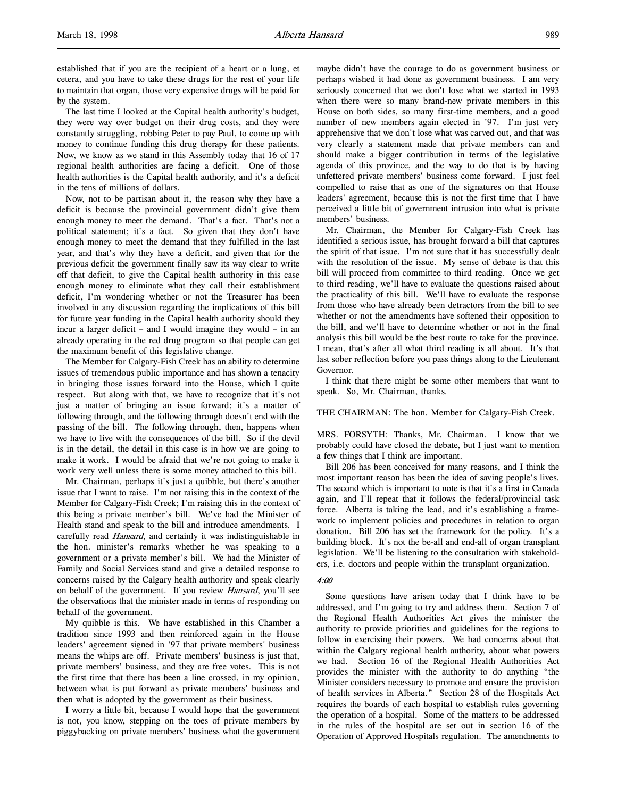established that if you are the recipient of a heart or a lung, et cetera, and you have to take these drugs for the rest of your life to maintain that organ, those very expensive drugs will be paid for by the system.

The last time I looked at the Capital health authority's budget, they were way over budget on their drug costs, and they were constantly struggling, robbing Peter to pay Paul, to come up with money to continue funding this drug therapy for these patients. Now, we know as we stand in this Assembly today that 16 of 17 regional health authorities are facing a deficit. One of those health authorities is the Capital health authority, and it's a deficit in the tens of millions of dollars.

Now, not to be partisan about it, the reason why they have a deficit is because the provincial government didn't give them enough money to meet the demand. That's a fact. That's not a political statement; it's a fact. So given that they don't have enough money to meet the demand that they fulfilled in the last year, and that's why they have a deficit, and given that for the previous deficit the government finally saw its way clear to write off that deficit, to give the Capital health authority in this case enough money to eliminate what they call their establishment deficit, I'm wondering whether or not the Treasurer has been involved in any discussion regarding the implications of this bill for future year funding in the Capital health authority should they incur a larger deficit – and I would imagine they would – in an already operating in the red drug program so that people can get the maximum benefit of this legislative change.

The Member for Calgary-Fish Creek has an ability to determine issues of tremendous public importance and has shown a tenacity in bringing those issues forward into the House, which I quite respect. But along with that, we have to recognize that it's not just a matter of bringing an issue forward; it's a matter of following through, and the following through doesn't end with the passing of the bill. The following through, then, happens when we have to live with the consequences of the bill. So if the devil is in the detail, the detail in this case is in how we are going to make it work. I would be afraid that we're not going to make it work very well unless there is some money attached to this bill.

Mr. Chairman, perhaps it's just a quibble, but there's another issue that I want to raise. I'm not raising this in the context of the Member for Calgary-Fish Creek; I'm raising this in the context of this being a private member's bill. We've had the Minister of Health stand and speak to the bill and introduce amendments. I carefully read *Hansard*, and certainly it was indistinguishable in the hon. minister's remarks whether he was speaking to a government or a private member's bill. We had the Minister of Family and Social Services stand and give a detailed response to concerns raised by the Calgary health authority and speak clearly on behalf of the government. If you review *Hansard*, you'll see the observations that the minister made in terms of responding on behalf of the government.

My quibble is this. We have established in this Chamber a tradition since 1993 and then reinforced again in the House leaders' agreement signed in '97 that private members' business means the whips are off. Private members' business is just that, private members' business, and they are free votes. This is not the first time that there has been a line crossed, in my opinion, between what is put forward as private members' business and then what is adopted by the government as their business.

I worry a little bit, because I would hope that the government is not, you know, stepping on the toes of private members by piggybacking on private members' business what the government maybe didn't have the courage to do as government business or perhaps wished it had done as government business. I am very seriously concerned that we don't lose what we started in 1993 when there were so many brand-new private members in this House on both sides, so many first-time members, and a good number of new members again elected in '97. I'm just very apprehensive that we don't lose what was carved out, and that was very clearly a statement made that private members can and should make a bigger contribution in terms of the legislative agenda of this province, and the way to do that is by having unfettered private members' business come forward. I just feel compelled to raise that as one of the signatures on that House leaders' agreement, because this is not the first time that I have perceived a little bit of government intrusion into what is private members' business.

Mr. Chairman, the Member for Calgary-Fish Creek has identified a serious issue, has brought forward a bill that captures the spirit of that issue. I'm not sure that it has successfully dealt with the resolution of the issue. My sense of debate is that this bill will proceed from committee to third reading. Once we get to third reading, we'll have to evaluate the questions raised about the practicality of this bill. We'll have to evaluate the response from those who have already been detractors from the bill to see whether or not the amendments have softened their opposition to the bill, and we'll have to determine whether or not in the final analysis this bill would be the best route to take for the province. I mean, that's after all what third reading is all about. It's that last sober reflection before you pass things along to the Lieutenant Governor.

I think that there might be some other members that want to speak. So, Mr. Chairman, thanks.

#### THE CHAIRMAN: The hon. Member for Calgary-Fish Creek.

MRS. FORSYTH: Thanks, Mr. Chairman. I know that we probably could have closed the debate, but I just want to mention a few things that I think are important.

Bill 206 has been conceived for many reasons, and I think the most important reason has been the idea of saving people's lives. The second which is important to note is that it's a first in Canada again, and I'll repeat that it follows the federal/provincial task force. Alberta is taking the lead, and it's establishing a framework to implement policies and procedures in relation to organ donation. Bill 206 has set the framework for the policy. It's a building block. It's not the be-all and end-all of organ transplant legislation. We'll be listening to the consultation with stakeholders, i.e. doctors and people within the transplant organization.

# 4:00

Some questions have arisen today that I think have to be addressed, and I'm going to try and address them. Section 7 of the Regional Health Authorities Act gives the minister the authority to provide priorities and guidelines for the regions to follow in exercising their powers. We had concerns about that within the Calgary regional health authority, about what powers we had. Section 16 of the Regional Health Authorities Act provides the minister with the authority to do anything "the Minister considers necessary to promote and ensure the provision of health services in Alberta." Section 28 of the Hospitals Act requires the boards of each hospital to establish rules governing the operation of a hospital. Some of the matters to be addressed in the rules of the hospital are set out in section 16 of the Operation of Approved Hospitals regulation. The amendments to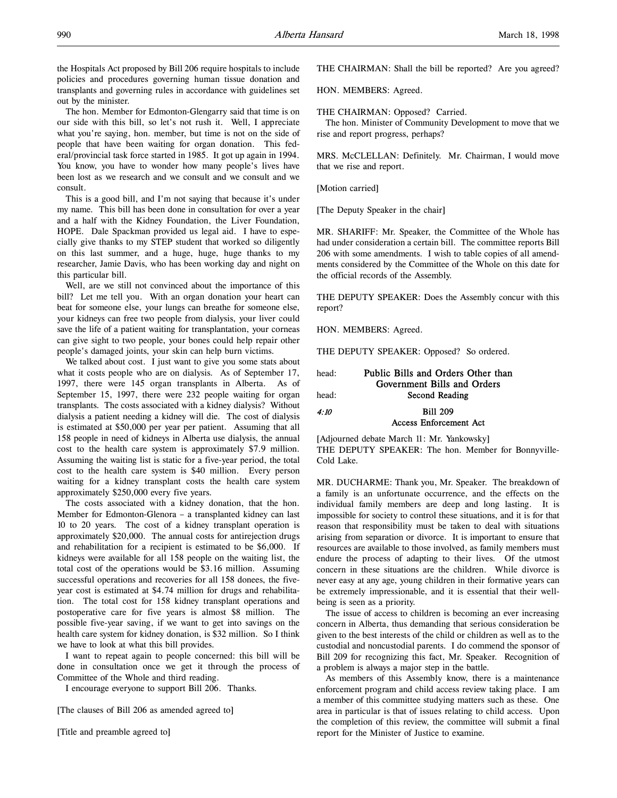the Hospitals Act proposed by Bill 206 require hospitals to include policies and procedures governing human tissue donation and transplants and governing rules in accordance with guidelines set out by the minister.

The hon. Member for Edmonton-Glengarry said that time is on our side with this bill, so let's not rush it. Well, I appreciate what you're saying, hon. member, but time is not on the side of people that have been waiting for organ donation. This federal/provincial task force started in 1985. It got up again in 1994. You know, you have to wonder how many people's lives have been lost as we research and we consult and we consult and we consult.

This is a good bill, and I'm not saying that because it's under my name. This bill has been done in consultation for over a year and a half with the Kidney Foundation, the Liver Foundation, HOPE. Dale Spackman provided us legal aid. I have to especially give thanks to my STEP student that worked so diligently on this last summer, and a huge, huge, huge thanks to my researcher, Jamie Davis, who has been working day and night on this particular bill.

Well, are we still not convinced about the importance of this bill? Let me tell you. With an organ donation your heart can beat for someone else, your lungs can breathe for someone else, your kidneys can free two people from dialysis, your liver could save the life of a patient waiting for transplantation, your corneas can give sight to two people, your bones could help repair other people's damaged joints, your skin can help burn victims.

We talked about cost. I just want to give you some stats about what it costs people who are on dialysis. As of September 17, 1997, there were 145 organ transplants in Alberta. As of September 15, 1997, there were 232 people waiting for organ transplants. The costs associated with a kidney dialysis? Without dialysis a patient needing a kidney will die. The cost of dialysis is estimated at \$50,000 per year per patient. Assuming that all 158 people in need of kidneys in Alberta use dialysis, the annual cost to the health care system is approximately \$7.9 million. Assuming the waiting list is static for a five-year period, the total cost to the health care system is \$40 million. Every person waiting for a kidney transplant costs the health care system approximately \$250,000 every five years.

The costs associated with a kidney donation, that the hon. Member for Edmonton-Glenora – a transplanted kidney can last 10 to 20 years. The cost of a kidney transplant operation is approximately \$20,000. The annual costs for antirejection drugs and rehabilitation for a recipient is estimated to be \$6,000. If kidneys were available for all 158 people on the waiting list, the total cost of the operations would be \$3.16 million. Assuming successful operations and recoveries for all 158 donees, the fiveyear cost is estimated at \$4.74 million for drugs and rehabilitation. The total cost for 158 kidney transplant operations and postoperative care for five years is almost \$8 million. The possible five-year saving, if we want to get into savings on the health care system for kidney donation, is \$32 million. So I think we have to look at what this bill provides.

I want to repeat again to people concerned: this bill will be done in consultation once we get it through the process of Committee of the Whole and third reading.

I encourage everyone to support Bill 206. Thanks.

[The clauses of Bill 206 as amended agreed to]

[Title and preamble agreed to]

THE CHAIRMAN: Shall the bill be reported? Are you agreed?

HON. MEMBERS: Agreed.

THE CHAIRMAN: Opposed? Carried.

The hon. Minister of Community Development to move that we rise and report progress, perhaps?

MRS. McCLELLAN: Definitely. Mr. Chairman, I would move that we rise and report.

[Motion carried]

[The Deputy Speaker in the chair]

MR. SHARIFF: Mr. Speaker, the Committee of the Whole has had under consideration a certain bill. The committee reports Bill 206 with some amendments. I wish to table copies of all amendments considered by the Committee of the Whole on this date for the official records of the Assembly.

THE DEPUTY SPEAKER: Does the Assembly concur with this report?

HON. MEMBERS: Agreed.

THE DEPUTY SPEAKER: Opposed? So ordered.

| head: | Public Bills and Orders Other than<br>Government Bills and Orders |  |  |
|-------|-------------------------------------------------------------------|--|--|
| head: | Second Reading                                                    |  |  |
| 4:10  | <b>Bill 209</b>                                                   |  |  |
|       | <b>Access Enforcement Act</b>                                     |  |  |

[Adjourned debate March 11: Mr. Yankowsky] THE DEPUTY SPEAKER: The hon. Member for Bonnyville-Cold Lake.

MR. DUCHARME: Thank you, Mr. Speaker. The breakdown of a family is an unfortunate occurrence, and the effects on the individual family members are deep and long lasting. It is impossible for society to control these situations, and it is for that reason that responsibility must be taken to deal with situations arising from separation or divorce. It is important to ensure that resources are available to those involved, as family members must endure the process of adapting to their lives. Of the utmost concern in these situations are the children. While divorce is never easy at any age, young children in their formative years can be extremely impressionable, and it is essential that their wellbeing is seen as a priority.

The issue of access to children is becoming an ever increasing concern in Alberta, thus demanding that serious consideration be given to the best interests of the child or children as well as to the custodial and noncustodial parents. I do commend the sponsor of Bill 209 for recognizing this fact, Mr. Speaker. Recognition of a problem is always a major step in the battle.

As members of this Assembly know, there is a maintenance enforcement program and child access review taking place. I am a member of this committee studying matters such as these. One area in particular is that of issues relating to child access. Upon the completion of this review, the committee will submit a final report for the Minister of Justice to examine.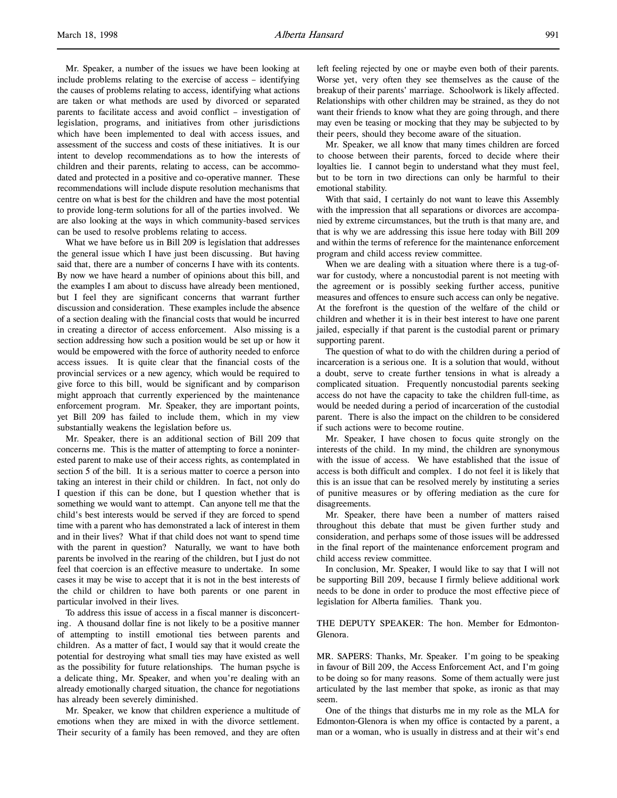Mr. Speaker, a number of the issues we have been looking at include problems relating to the exercise of access – identifying the causes of problems relating to access, identifying what actions are taken or what methods are used by divorced or separated parents to facilitate access and avoid conflict – investigation of legislation, programs, and initiatives from other jurisdictions which have been implemented to deal with access issues, and assessment of the success and costs of these initiatives. It is our intent to develop recommendations as to how the interests of children and their parents, relating to access, can be accommodated and protected in a positive and co-operative manner. These recommendations will include dispute resolution mechanisms that centre on what is best for the children and have the most potential to provide long-term solutions for all of the parties involved. We are also looking at the ways in which community-based services can be used to resolve problems relating to access.

What we have before us in Bill 209 is legislation that addresses the general issue which I have just been discussing. But having said that, there are a number of concerns I have with its contents. By now we have heard a number of opinions about this bill, and the examples I am about to discuss have already been mentioned, but I feel they are significant concerns that warrant further discussion and consideration. These examples include the absence of a section dealing with the financial costs that would be incurred in creating a director of access enforcement. Also missing is a section addressing how such a position would be set up or how it would be empowered with the force of authority needed to enforce access issues. It is quite clear that the financial costs of the provincial services or a new agency, which would be required to give force to this bill, would be significant and by comparison might approach that currently experienced by the maintenance enforcement program. Mr. Speaker, they are important points, yet Bill 209 has failed to include them, which in my view substantially weakens the legislation before us.

Mr. Speaker, there is an additional section of Bill 209 that concerns me. This is the matter of attempting to force a noninterested parent to make use of their access rights, as contemplated in section 5 of the bill. It is a serious matter to coerce a person into taking an interest in their child or children. In fact, not only do I question if this can be done, but I question whether that is something we would want to attempt. Can anyone tell me that the child's best interests would be served if they are forced to spend time with a parent who has demonstrated a lack of interest in them and in their lives? What if that child does not want to spend time with the parent in question? Naturally, we want to have both parents be involved in the rearing of the children, but I just do not feel that coercion is an effective measure to undertake. In some cases it may be wise to accept that it is not in the best interests of the child or children to have both parents or one parent in particular involved in their lives.

To address this issue of access in a fiscal manner is disconcerting. A thousand dollar fine is not likely to be a positive manner of attempting to instill emotional ties between parents and children. As a matter of fact, I would say that it would create the potential for destroying what small ties may have existed as well as the possibility for future relationships. The human psyche is a delicate thing, Mr. Speaker, and when you're dealing with an already emotionally charged situation, the chance for negotiations has already been severely diminished.

Mr. Speaker, we know that children experience a multitude of emotions when they are mixed in with the divorce settlement. Their security of a family has been removed, and they are often

left feeling rejected by one or maybe even both of their parents. Worse yet, very often they see themselves as the cause of the breakup of their parents' marriage. Schoolwork is likely affected. Relationships with other children may be strained, as they do not want their friends to know what they are going through, and there may even be teasing or mocking that they may be subjected to by their peers, should they become aware of the situation.

Mr. Speaker, we all know that many times children are forced to choose between their parents, forced to decide where their loyalties lie. I cannot begin to understand what they must feel, but to be torn in two directions can only be harmful to their emotional stability.

With that said, I certainly do not want to leave this Assembly with the impression that all separations or divorces are accompanied by extreme circumstances, but the truth is that many are, and that is why we are addressing this issue here today with Bill 209 and within the terms of reference for the maintenance enforcement program and child access review committee.

When we are dealing with a situation where there is a tug-ofwar for custody, where a noncustodial parent is not meeting with the agreement or is possibly seeking further access, punitive measures and offences to ensure such access can only be negative. At the forefront is the question of the welfare of the child or children and whether it is in their best interest to have one parent jailed, especially if that parent is the custodial parent or primary supporting parent.

The question of what to do with the children during a period of incarceration is a serious one. It is a solution that would, without a doubt, serve to create further tensions in what is already a complicated situation. Frequently noncustodial parents seeking access do not have the capacity to take the children full-time, as would be needed during a period of incarceration of the custodial parent. There is also the impact on the children to be considered if such actions were to become routine.

Mr. Speaker, I have chosen to focus quite strongly on the interests of the child. In my mind, the children are synonymous with the issue of access. We have established that the issue of access is both difficult and complex. I do not feel it is likely that this is an issue that can be resolved merely by instituting a series of punitive measures or by offering mediation as the cure for disagreements.

Mr. Speaker, there have been a number of matters raised throughout this debate that must be given further study and consideration, and perhaps some of those issues will be addressed in the final report of the maintenance enforcement program and child access review committee.

In conclusion, Mr. Speaker, I would like to say that I will not be supporting Bill 209, because I firmly believe additional work needs to be done in order to produce the most effective piece of legislation for Alberta families. Thank you.

THE DEPUTY SPEAKER: The hon. Member for Edmonton-Glenora.

MR. SAPERS: Thanks, Mr. Speaker. I'm going to be speaking in favour of Bill 209, the Access Enforcement Act, and I'm going to be doing so for many reasons. Some of them actually were just articulated by the last member that spoke, as ironic as that may seem.

One of the things that disturbs me in my role as the MLA for Edmonton-Glenora is when my office is contacted by a parent, a man or a woman, who is usually in distress and at their wit's end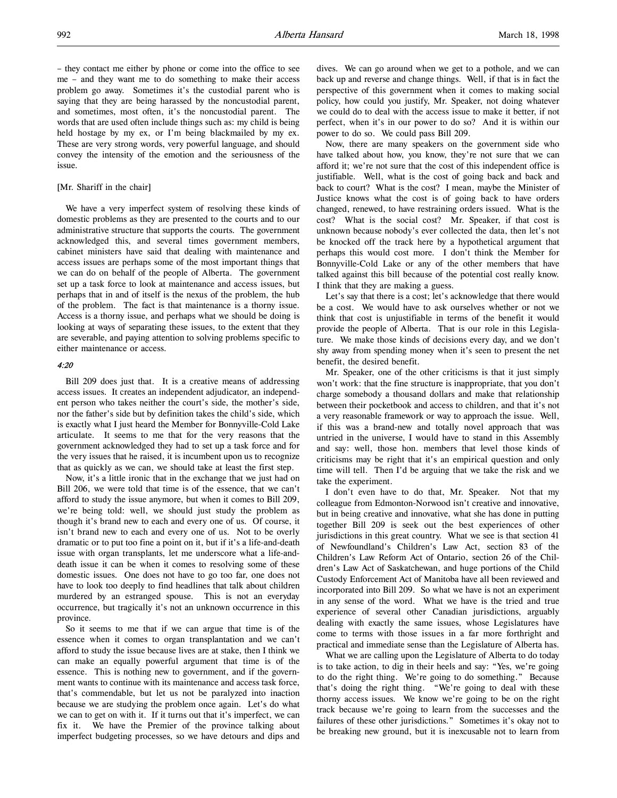– they contact me either by phone or come into the office to see me – and they want me to do something to make their access problem go away. Sometimes it's the custodial parent who is saying that they are being harassed by the noncustodial parent, and sometimes, most often, it's the noncustodial parent. The words that are used often include things such as: my child is being held hostage by my ex, or I'm being blackmailed by my ex. These are very strong words, very powerful language, and should convey the intensity of the emotion and the seriousness of the issue.

#### [Mr. Shariff in the chair]

We have a very imperfect system of resolving these kinds of domestic problems as they are presented to the courts and to our administrative structure that supports the courts. The government acknowledged this, and several times government members, cabinet ministers have said that dealing with maintenance and access issues are perhaps some of the most important things that we can do on behalf of the people of Alberta. The government set up a task force to look at maintenance and access issues, but perhaps that in and of itself is the nexus of the problem, the hub of the problem. The fact is that maintenance is a thorny issue. Access is a thorny issue, and perhaps what we should be doing is looking at ways of separating these issues, to the extent that they are severable, and paying attention to solving problems specific to either maintenance or access.

# $4.20$

Bill 209 does just that. It is a creative means of addressing access issues. It creates an independent adjudicator, an independent person who takes neither the court's side, the mother's side, nor the father's side but by definition takes the child's side, which is exactly what I just heard the Member for Bonnyville-Cold Lake articulate. It seems to me that for the very reasons that the government acknowledged they had to set up a task force and for the very issues that he raised, it is incumbent upon us to recognize that as quickly as we can, we should take at least the first step.

Now, it's a little ironic that in the exchange that we just had on Bill 206, we were told that time is of the essence, that we can't afford to study the issue anymore, but when it comes to Bill 209, we're being told: well, we should just study the problem as though it's brand new to each and every one of us. Of course, it isn't brand new to each and every one of us. Not to be overly dramatic or to put too fine a point on it, but if it's a life-and-death issue with organ transplants, let me underscore what a life-anddeath issue it can be when it comes to resolving some of these domestic issues. One does not have to go too far, one does not have to look too deeply to find headlines that talk about children murdered by an estranged spouse. This is not an everyday occurrence, but tragically it's not an unknown occurrence in this province.

So it seems to me that if we can argue that time is of the essence when it comes to organ transplantation and we can't afford to study the issue because lives are at stake, then I think we can make an equally powerful argument that time is of the essence. This is nothing new to government, and if the government wants to continue with its maintenance and access task force, that's commendable, but let us not be paralyzed into inaction because we are studying the problem once again. Let's do what we can to get on with it. If it turns out that it's imperfect, we can fix it. We have the Premier of the province talking about imperfect budgeting processes, so we have detours and dips and

dives. We can go around when we get to a pothole, and we can back up and reverse and change things. Well, if that is in fact the perspective of this government when it comes to making social policy, how could you justify, Mr. Speaker, not doing whatever we could do to deal with the access issue to make it better, if not perfect, when it's in our power to do so? And it is within our power to do so. We could pass Bill 209.

Now, there are many speakers on the government side who have talked about how, you know, they're not sure that we can afford it; we're not sure that the cost of this independent office is justifiable. Well, what is the cost of going back and back and back to court? What is the cost? I mean, maybe the Minister of Justice knows what the cost is of going back to have orders changed, renewed, to have restraining orders issued. What is the cost? What is the social cost? Mr. Speaker, if that cost is unknown because nobody's ever collected the data, then let's not be knocked off the track here by a hypothetical argument that perhaps this would cost more. I don't think the Member for Bonnyville-Cold Lake or any of the other members that have talked against this bill because of the potential cost really know. I think that they are making a guess.

Let's say that there is a cost; let's acknowledge that there would be a cost. We would have to ask ourselves whether or not we think that cost is unjustifiable in terms of the benefit it would provide the people of Alberta. That is our role in this Legislature. We make those kinds of decisions every day, and we don't shy away from spending money when it's seen to present the net benefit, the desired benefit.

Mr. Speaker, one of the other criticisms is that it just simply won't work: that the fine structure is inappropriate, that you don't charge somebody a thousand dollars and make that relationship between their pocketbook and access to children, and that it's not a very reasonable framework or way to approach the issue. Well, if this was a brand-new and totally novel approach that was untried in the universe, I would have to stand in this Assembly and say: well, those hon. members that level those kinds of criticisms may be right that it's an empirical question and only time will tell. Then I'd be arguing that we take the risk and we take the experiment.

I don't even have to do that, Mr. Speaker. Not that my colleague from Edmonton-Norwood isn't creative and innovative, but in being creative and innovative, what she has done in putting together Bill 209 is seek out the best experiences of other jurisdictions in this great country. What we see is that section 41 of Newfoundland's Children's Law Act, section 83 of the Children's Law Reform Act of Ontario, section 26 of the Children's Law Act of Saskatchewan, and huge portions of the Child Custody Enforcement Act of Manitoba have all been reviewed and incorporated into Bill 209. So what we have is not an experiment in any sense of the word. What we have is the tried and true experience of several other Canadian jurisdictions, arguably dealing with exactly the same issues, whose Legislatures have come to terms with those issues in a far more forthright and practical and immediate sense than the Legislature of Alberta has.

What we are calling upon the Legislature of Alberta to do today is to take action, to dig in their heels and say: "Yes, we're going to do the right thing. We're going to do something." Because that's doing the right thing. "We're going to deal with these thorny access issues. We know we're going to be on the right track because we're going to learn from the successes and the failures of these other jurisdictions." Sometimes it's okay not to be breaking new ground, but it is inexcusable not to learn from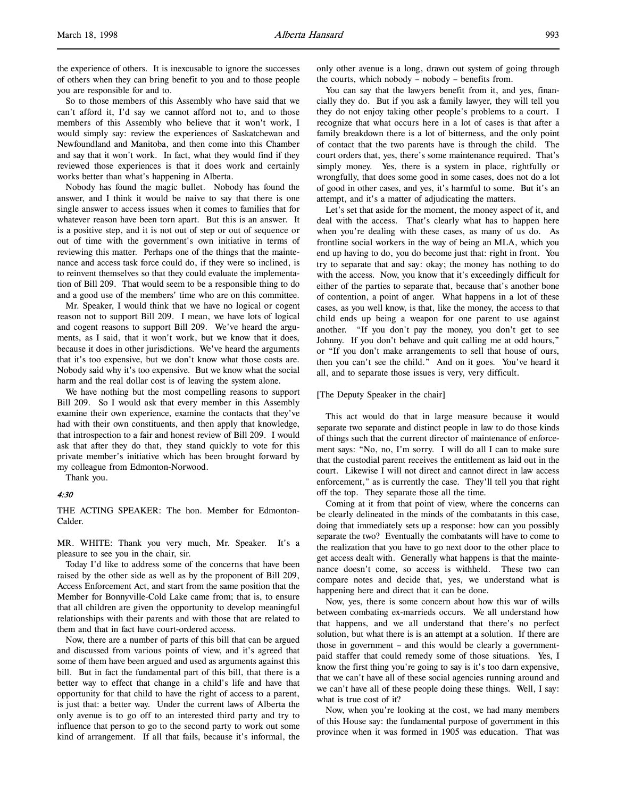So to those members of this Assembly who have said that we can't afford it, I'd say we cannot afford not to, and to those members of this Assembly who believe that it won't work, I would simply say: review the experiences of Saskatchewan and Newfoundland and Manitoba, and then come into this Chamber and say that it won't work. In fact, what they would find if they reviewed those experiences is that it does work and certainly works better than what's happening in Alberta.

Nobody has found the magic bullet. Nobody has found the answer, and I think it would be naive to say that there is one single answer to access issues when it comes to families that for whatever reason have been torn apart. But this is an answer. It is a positive step, and it is not out of step or out of sequence or out of time with the government's own initiative in terms of reviewing this matter. Perhaps one of the things that the maintenance and access task force could do, if they were so inclined, is to reinvent themselves so that they could evaluate the implementation of Bill 209. That would seem to be a responsible thing to do and a good use of the members' time who are on this committee.

Mr. Speaker, I would think that we have no logical or cogent reason not to support Bill 209. I mean, we have lots of logical and cogent reasons to support Bill 209. We've heard the arguments, as I said, that it won't work, but we know that it does, because it does in other jurisdictions. We've heard the arguments that it's too expensive, but we don't know what those costs are. Nobody said why it's too expensive. But we know what the social harm and the real dollar cost is of leaving the system alone.

We have nothing but the most compelling reasons to support Bill 209. So I would ask that every member in this Assembly examine their own experience, examine the contacts that they've had with their own constituents, and then apply that knowledge, that introspection to a fair and honest review of Bill 209. I would ask that after they do that, they stand quickly to vote for this private member's initiative which has been brought forward by my colleague from Edmonton-Norwood.

Thank you.

# 4:30

THE ACTING SPEAKER: The hon. Member for Edmonton-Calder.

MR. WHITE: Thank you very much, Mr. Speaker. It's a pleasure to see you in the chair, sir.

Today I'd like to address some of the concerns that have been raised by the other side as well as by the proponent of Bill 209, Access Enforcement Act, and start from the same position that the Member for Bonnyville-Cold Lake came from; that is, to ensure that all children are given the opportunity to develop meaningful relationships with their parents and with those that are related to them and that in fact have court-ordered access.

Now, there are a number of parts of this bill that can be argued and discussed from various points of view, and it's agreed that some of them have been argued and used as arguments against this bill. But in fact the fundamental part of this bill, that there is a better way to effect that change in a child's life and have that opportunity for that child to have the right of access to a parent, is just that: a better way. Under the current laws of Alberta the only avenue is to go off to an interested third party and try to influence that person to go to the second party to work out some kind of arrangement. If all that fails, because it's informal, the

only other avenue is a long, drawn out system of going through the courts, which nobody – nobody – benefits from.

You can say that the lawyers benefit from it, and yes, financially they do. But if you ask a family lawyer, they will tell you they do not enjoy taking other people's problems to a court. I recognize that what occurs here in a lot of cases is that after a family breakdown there is a lot of bitterness, and the only point of contact that the two parents have is through the child. The court orders that, yes, there's some maintenance required. That's simply money. Yes, there is a system in place, rightfully or wrongfully, that does some good in some cases, does not do a lot of good in other cases, and yes, it's harmful to some. But it's an attempt, and it's a matter of adjudicating the matters.

Let's set that aside for the moment, the money aspect of it, and deal with the access. That's clearly what has to happen here when you're dealing with these cases, as many of us do. As frontline social workers in the way of being an MLA, which you end up having to do, you do become just that: right in front. You try to separate that and say: okay; the money has nothing to do with the access. Now, you know that it's exceedingly difficult for either of the parties to separate that, because that's another bone of contention, a point of anger. What happens in a lot of these cases, as you well know, is that, like the money, the access to that child ends up being a weapon for one parent to use against another. "If you don't pay the money, you don't get to see Johnny. If you don't behave and quit calling me at odd hours," or "If you don't make arrangements to sell that house of ours, then you can't see the child." And on it goes. You've heard it all, and to separate those issues is very, very difficult.

#### [The Deputy Speaker in the chair]

This act would do that in large measure because it would separate two separate and distinct people in law to do those kinds of things such that the current director of maintenance of enforcement says: "No, no, I'm sorry. I will do all I can to make sure that the custodial parent receives the entitlement as laid out in the court. Likewise I will not direct and cannot direct in law access enforcement," as is currently the case. They'll tell you that right off the top. They separate those all the time.

Coming at it from that point of view, where the concerns can be clearly delineated in the minds of the combatants in this case, doing that immediately sets up a response: how can you possibly separate the two? Eventually the combatants will have to come to the realization that you have to go next door to the other place to get access dealt with. Generally what happens is that the maintenance doesn't come, so access is withheld. These two can compare notes and decide that, yes, we understand what is happening here and direct that it can be done.

Now, yes, there is some concern about how this war of wills between combating ex-marrieds occurs. We all understand how that happens, and we all understand that there's no perfect solution, but what there is is an attempt at a solution. If there are those in government – and this would be clearly a governmentpaid staffer that could remedy some of those situations. Yes, I know the first thing you're going to say is it's too darn expensive, that we can't have all of these social agencies running around and we can't have all of these people doing these things. Well, I say: what is true cost of it?

Now, when you're looking at the cost, we had many members of this House say: the fundamental purpose of government in this province when it was formed in 1905 was education. That was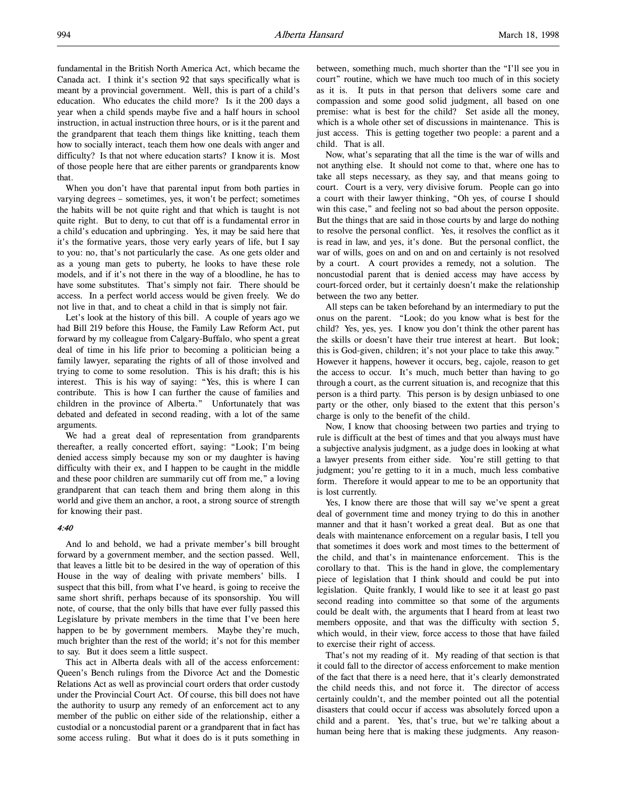fundamental in the British North America Act, which became the Canada act. I think it's section 92 that says specifically what is meant by a provincial government. Well, this is part of a child's education. Who educates the child more? Is it the 200 days a year when a child spends maybe five and a half hours in school instruction, in actual instruction three hours, or is it the parent and the grandparent that teach them things like knitting, teach them how to socially interact, teach them how one deals with anger and difficulty? Is that not where education starts? I know it is. Most of those people here that are either parents or grandparents know that.

When you don't have that parental input from both parties in varying degrees – sometimes, yes, it won't be perfect; sometimes the habits will be not quite right and that which is taught is not quite right. But to deny, to cut that off is a fundamental error in a child's education and upbringing. Yes, it may be said here that it's the formative years, those very early years of life, but I say to you: no, that's not particularly the case. As one gets older and as a young man gets to puberty, he looks to have these role models, and if it's not there in the way of a bloodline, he has to have some substitutes. That's simply not fair. There should be access. In a perfect world access would be given freely. We do not live in that, and to cheat a child in that is simply not fair.

Let's look at the history of this bill. A couple of years ago we had Bill 219 before this House, the Family Law Reform Act, put forward by my colleague from Calgary-Buffalo, who spent a great deal of time in his life prior to becoming a politician being a family lawyer, separating the rights of all of those involved and trying to come to some resolution. This is his draft; this is his interest. This is his way of saying: "Yes, this is where I can contribute. This is how I can further the cause of families and children in the province of Alberta." Unfortunately that was debated and defeated in second reading, with a lot of the same arguments.

We had a great deal of representation from grandparents thereafter, a really concerted effort, saying: "Look; I'm being denied access simply because my son or my daughter is having difficulty with their ex, and I happen to be caught in the middle and these poor children are summarily cut off from me," a loving grandparent that can teach them and bring them along in this world and give them an anchor, a root, a strong source of strength for knowing their past.

#### 4:40

And lo and behold, we had a private member's bill brought forward by a government member, and the section passed. Well, that leaves a little bit to be desired in the way of operation of this House in the way of dealing with private members' bills. I suspect that this bill, from what I've heard, is going to receive the same short shrift, perhaps because of its sponsorship. You will note, of course, that the only bills that have ever fully passed this Legislature by private members in the time that I've been here happen to be by government members. Maybe they're much, much brighter than the rest of the world; it's not for this member to say. But it does seem a little suspect.

This act in Alberta deals with all of the access enforcement: Queen's Bench rulings from the Divorce Act and the Domestic Relations Act as well as provincial court orders that order custody under the Provincial Court Act. Of course, this bill does not have the authority to usurp any remedy of an enforcement act to any member of the public on either side of the relationship, either a custodial or a noncustodial parent or a grandparent that in fact has some access ruling. But what it does do is it puts something in

between, something much, much shorter than the "I'll see you in court" routine, which we have much too much of in this society as it is. It puts in that person that delivers some care and compassion and some good solid judgment, all based on one premise: what is best for the child? Set aside all the money, which is a whole other set of discussions in maintenance. This is just access. This is getting together two people: a parent and a child. That is all.

Now, what's separating that all the time is the war of wills and not anything else. It should not come to that, where one has to take all steps necessary, as they say, and that means going to court. Court is a very, very divisive forum. People can go into a court with their lawyer thinking, "Oh yes, of course I should win this case," and feeling not so bad about the person opposite. But the things that are said in those courts by and large do nothing to resolve the personal conflict. Yes, it resolves the conflict as it is read in law, and yes, it's done. But the personal conflict, the war of wills, goes on and on and on and certainly is not resolved by a court. A court provides a remedy, not a solution. The noncustodial parent that is denied access may have access by court-forced order, but it certainly doesn't make the relationship between the two any better.

All steps can be taken beforehand by an intermediary to put the onus on the parent. "Look; do you know what is best for the child? Yes, yes, yes. I know you don't think the other parent has the skills or doesn't have their true interest at heart. But look; this is God-given, children; it's not your place to take this away." However it happens, however it occurs, beg, cajole, reason to get the access to occur. It's much, much better than having to go through a court, as the current situation is, and recognize that this person is a third party. This person is by design unbiased to one party or the other, only biased to the extent that this person's charge is only to the benefit of the child.

Now, I know that choosing between two parties and trying to rule is difficult at the best of times and that you always must have a subjective analysis judgment, as a judge does in looking at what a lawyer presents from either side. You're still getting to that judgment; you're getting to it in a much, much less combative form. Therefore it would appear to me to be an opportunity that is lost currently.

Yes, I know there are those that will say we've spent a great deal of government time and money trying to do this in another manner and that it hasn't worked a great deal. But as one that deals with maintenance enforcement on a regular basis, I tell you that sometimes it does work and most times to the betterment of the child, and that's in maintenance enforcement. This is the corollary to that. This is the hand in glove, the complementary piece of legislation that I think should and could be put into legislation. Quite frankly, I would like to see it at least go past second reading into committee so that some of the arguments could be dealt with, the arguments that I heard from at least two members opposite, and that was the difficulty with section 5, which would, in their view, force access to those that have failed to exercise their right of access.

That's not my reading of it. My reading of that section is that it could fall to the director of access enforcement to make mention of the fact that there is a need here, that it's clearly demonstrated the child needs this, and not force it. The director of access certainly couldn't, and the member pointed out all the potential disasters that could occur if access was absolutely forced upon a child and a parent. Yes, that's true, but we're talking about a human being here that is making these judgments. Any reason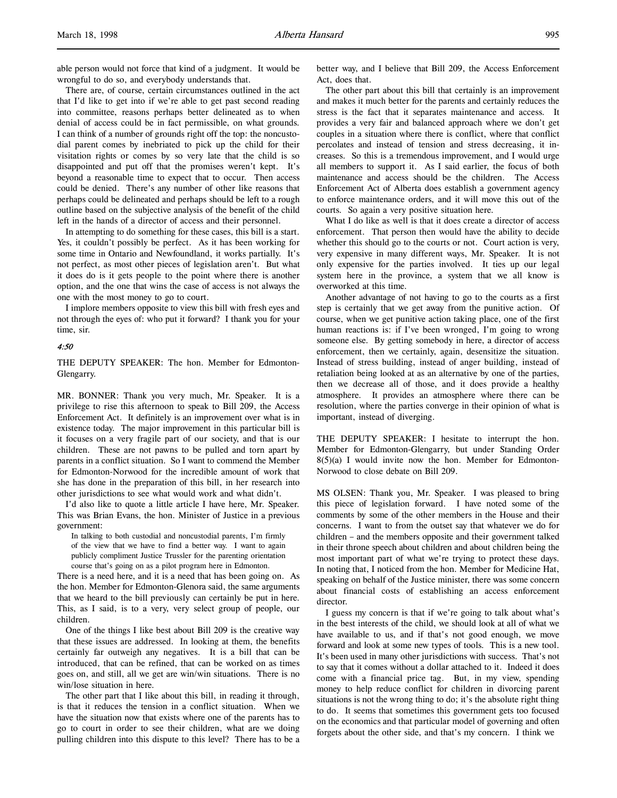able person would not force that kind of a judgment. It would be wrongful to do so, and everybody understands that.

There are, of course, certain circumstances outlined in the act that I'd like to get into if we're able to get past second reading into committee, reasons perhaps better delineated as to when denial of access could be in fact permissible, on what grounds. I can think of a number of grounds right off the top: the noncustodial parent comes by inebriated to pick up the child for their visitation rights or comes by so very late that the child is so disappointed and put off that the promises weren't kept. It's beyond a reasonable time to expect that to occur. Then access could be denied. There's any number of other like reasons that perhaps could be delineated and perhaps should be left to a rough outline based on the subjective analysis of the benefit of the child left in the hands of a director of access and their personnel.

In attempting to do something for these cases, this bill is a start. Yes, it couldn't possibly be perfect. As it has been working for some time in Ontario and Newfoundland, it works partially. It's not perfect, as most other pieces of legislation aren't. But what it does do is it gets people to the point where there is another option, and the one that wins the case of access is not always the one with the most money to go to court.

I implore members opposite to view this bill with fresh eyes and not through the eyes of: who put it forward? I thank you for your time, sir.

#### 4:50

THE DEPUTY SPEAKER: The hon. Member for Edmonton-Glengarry.

MR. BONNER: Thank you very much, Mr. Speaker. It is a privilege to rise this afternoon to speak to Bill 209, the Access Enforcement Act. It definitely is an improvement over what is in existence today. The major improvement in this particular bill is it focuses on a very fragile part of our society, and that is our children. These are not pawns to be pulled and torn apart by parents in a conflict situation. So I want to commend the Member for Edmonton-Norwood for the incredible amount of work that she has done in the preparation of this bill, in her research into other jurisdictions to see what would work and what didn't.

I'd also like to quote a little article I have here, Mr. Speaker. This was Brian Evans, the hon. Minister of Justice in a previous government:

In talking to both custodial and noncustodial parents, I'm firmly of the view that we have to find a better way. I want to again publicly compliment Justice Trussler for the parenting orientation course that's going on as a pilot program here in Edmonton.

There is a need here, and it is a need that has been going on. As the hon. Member for Edmonton-Glenora said, the same arguments that we heard to the bill previously can certainly be put in here. This, as I said, is to a very, very select group of people, our children.

One of the things I like best about Bill 209 is the creative way that these issues are addressed. In looking at them, the benefits certainly far outweigh any negatives. It is a bill that can be introduced, that can be refined, that can be worked on as times goes on, and still, all we get are win/win situations. There is no win/lose situation in here.

The other part that I like about this bill, in reading it through, is that it reduces the tension in a conflict situation. When we have the situation now that exists where one of the parents has to go to court in order to see their children, what are we doing pulling children into this dispute to this level? There has to be a

better way, and I believe that Bill 209, the Access Enforcement Act, does that.

The other part about this bill that certainly is an improvement and makes it much better for the parents and certainly reduces the stress is the fact that it separates maintenance and access. It provides a very fair and balanced approach where we don't get couples in a situation where there is conflict, where that conflict percolates and instead of tension and stress decreasing, it increases. So this is a tremendous improvement, and I would urge all members to support it. As I said earlier, the focus of both maintenance and access should be the children. The Access Enforcement Act of Alberta does establish a government agency to enforce maintenance orders, and it will move this out of the courts. So again a very positive situation here.

What I do like as well is that it does create a director of access enforcement. That person then would have the ability to decide whether this should go to the courts or not. Court action is very, very expensive in many different ways, Mr. Speaker. It is not only expensive for the parties involved. It ties up our legal system here in the province, a system that we all know is overworked at this time.

Another advantage of not having to go to the courts as a first step is certainly that we get away from the punitive action. Of course, when we get punitive action taking place, one of the first human reactions is: if I've been wronged, I'm going to wrong someone else. By getting somebody in here, a director of access enforcement, then we certainly, again, desensitize the situation. Instead of stress building, instead of anger building, instead of retaliation being looked at as an alternative by one of the parties, then we decrease all of those, and it does provide a healthy atmosphere. It provides an atmosphere where there can be resolution, where the parties converge in their opinion of what is important, instead of diverging.

THE DEPUTY SPEAKER: I hesitate to interrupt the hon. Member for Edmonton-Glengarry, but under Standing Order  $8(5)(a)$  I would invite now the hon. Member for Edmonton-Norwood to close debate on Bill 209.

MS OLSEN: Thank you, Mr. Speaker. I was pleased to bring this piece of legislation forward. I have noted some of the comments by some of the other members in the House and their concerns. I want to from the outset say that whatever we do for children – and the members opposite and their government talked in their throne speech about children and about children being the most important part of what we're trying to protect these days. In noting that, I noticed from the hon. Member for Medicine Hat, speaking on behalf of the Justice minister, there was some concern about financial costs of establishing an access enforcement director.

I guess my concern is that if we're going to talk about what's in the best interests of the child, we should look at all of what we have available to us, and if that's not good enough, we move forward and look at some new types of tools. This is a new tool. It's been used in many other jurisdictions with success. That's not to say that it comes without a dollar attached to it. Indeed it does come with a financial price tag. But, in my view, spending money to help reduce conflict for children in divorcing parent situations is not the wrong thing to do; it's the absolute right thing to do. It seems that sometimes this government gets too focused on the economics and that particular model of governing and often forgets about the other side, and that's my concern. I think we